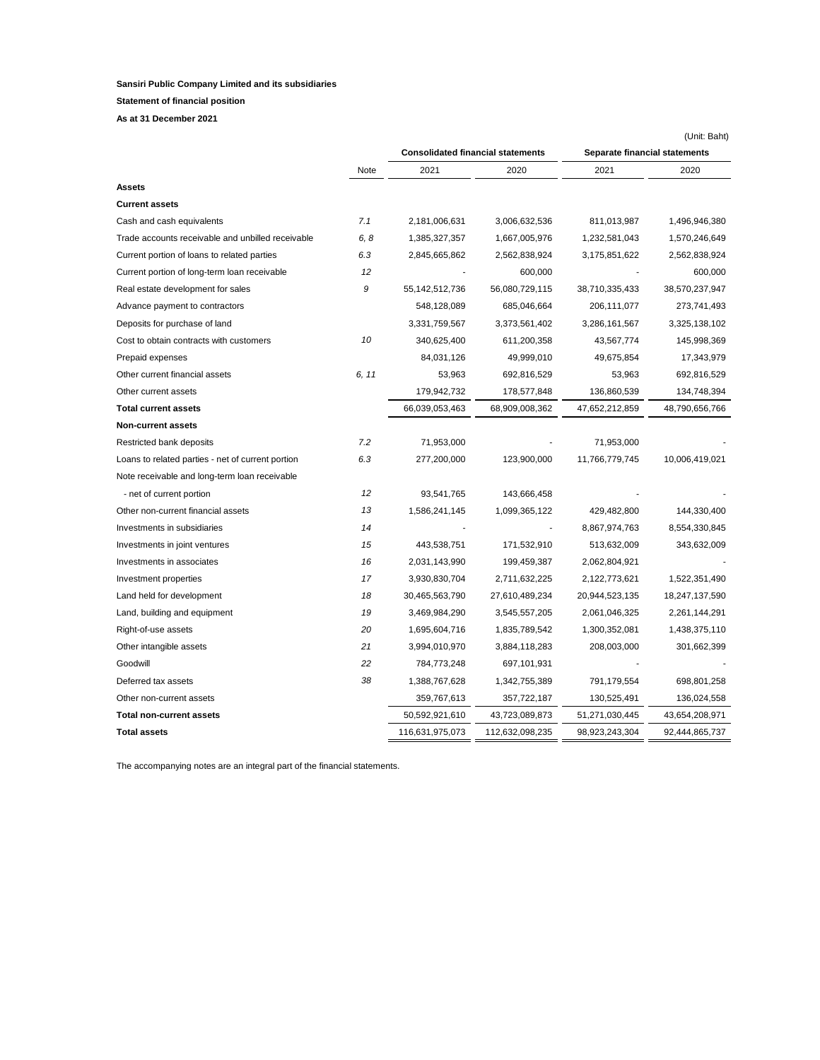**Statement of financial position**

**As at 31 December 2021**

|                                                   |       |                                          |                 |                               | (Unit: Baht)   |
|---------------------------------------------------|-------|------------------------------------------|-----------------|-------------------------------|----------------|
|                                                   |       | <b>Consolidated financial statements</b> |                 | Separate financial statements |                |
|                                                   | Note  | 2021                                     | 2020            | 2021                          | 2020           |
| Assets                                            |       |                                          |                 |                               |                |
| Current assets                                    |       |                                          |                 |                               |                |
| Cash and cash equivalents                         | 7.1   | 2,181,006,631                            | 3,006,632,536   | 811,013,987                   | 1,496,946,380  |
| Trade accounts receivable and unbilled receivable | 6, 8  | 1,385,327,357                            | 1,667,005,976   | 1,232,581,043                 | 1,570,246,649  |
| Current portion of loans to related parties       | 6.3   | 2,845,665,862                            | 2,562,838,924   | 3,175,851,622                 | 2,562,838,924  |
| Current portion of long-term loan receivable      | 12    |                                          | 600,000         |                               | 600,000        |
| Real estate development for sales                 | 9     | 55,142,512,736                           | 56,080,729,115  | 38,710,335,433                | 38,570,237,947 |
| Advance payment to contractors                    |       | 548,128,089                              | 685,046,664     | 206,111,077                   | 273,741,493    |
| Deposits for purchase of land                     |       | 3,331,759,567                            | 3,373,561,402   | 3,286,161,567                 | 3,325,138,102  |
| Cost to obtain contracts with customers           | 10    | 340,625,400                              | 611,200,358     | 43,567,774                    | 145,998,369    |
| Prepaid expenses                                  |       | 84,031,126                               | 49,999,010      | 49,675,854                    | 17,343,979     |
| Other current financial assets                    | 6, 11 | 53,963                                   | 692,816,529     | 53,963                        | 692,816,529    |
| Other current assets                              |       | 179,942,732                              | 178,577,848     | 136,860,539                   | 134,748,394    |
| <b>Total current assets</b>                       |       | 66,039,053,463                           | 68,909,008,362  | 47,652,212,859                | 48,790,656,766 |
| Non-current assets                                |       |                                          |                 |                               |                |
| Restricted bank deposits                          | 7.2   | 71,953,000                               |                 | 71,953,000                    |                |
| Loans to related parties - net of current portion | 6.3   | 277,200,000                              | 123,900,000     | 11,766,779,745                | 10,006,419,021 |
| Note receivable and long-term loan receivable     |       |                                          |                 |                               |                |
| - net of current portion                          | 12    | 93,541,765                               | 143,666,458     |                               |                |
| Other non-current financial assets                | 13    | 1,586,241,145                            | 1,099,365,122   | 429,482,800                   | 144,330,400    |
| Investments in subsidiaries                       | 14    |                                          |                 | 8,867,974,763                 | 8,554,330,845  |
| Investments in joint ventures                     | 15    | 443,538,751                              | 171,532,910     | 513,632,009                   | 343,632,009    |
| Investments in associates                         | 16    | 2,031,143,990                            | 199,459,387     | 2,062,804,921                 |                |
| Investment properties                             | 17    | 3,930,830,704                            | 2,711,632,225   | 2,122,773,621                 | 1,522,351,490  |
| Land held for development                         | 18    | 30,465,563,790                           | 27,610,489,234  | 20,944,523,135                | 18,247,137,590 |
| Land, building and equipment                      | 19    | 3,469,984,290                            | 3,545,557,205   | 2,061,046,325                 | 2,261,144,291  |
| Right-of-use assets                               | 20    | 1,695,604,716                            | 1,835,789,542   | 1,300,352,081                 | 1,438,375,110  |
| Other intangible assets                           | 21    | 3,994,010,970                            | 3,884,118,283   | 208,003,000                   | 301,662,399    |
| Goodwill                                          | 22    | 784,773,248                              | 697,101,931     |                               |                |
| Deferred tax assets                               | 38    | 1,388,767,628                            | 1,342,755,389   | 791,179,554                   | 698,801,258    |
| Other non-current assets                          |       | 359,767,613                              | 357,722,187     | 130,525,491                   | 136,024,558    |
| <b>Total non-current assets</b>                   |       | 50,592,921,610                           | 43,723,089,873  | 51,271,030,445                | 43,654,208,971 |
| <b>Total assets</b>                               |       | 116,631,975,073                          | 112,632,098,235 | 98,923,243,304                | 92,444,865,737 |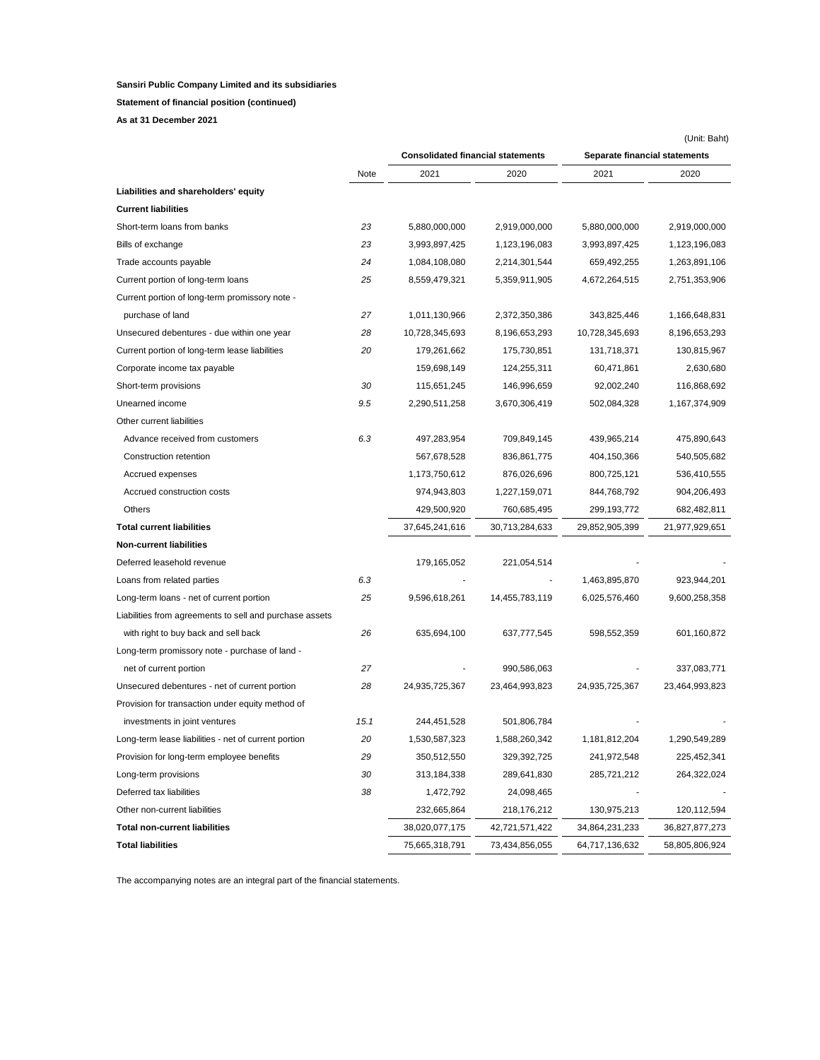**Statement of financial position (continued)**

**As at 31 December 2021**

|                                                         |      |                                          |                |                               | (Unit: Baht)   |  |
|---------------------------------------------------------|------|------------------------------------------|----------------|-------------------------------|----------------|--|
|                                                         |      | <b>Consolidated financial statements</b> |                | Separate financial statements |                |  |
|                                                         | Note | 2021                                     | 2020           | 2021                          | 2020           |  |
| Liabilities and shareholders' equity                    |      |                                          |                |                               |                |  |
| <b>Current liabilities</b>                              |      |                                          |                |                               |                |  |
| Short-term loans from banks                             | 23   | 5,880,000,000                            | 2,919,000,000  | 5,880,000,000                 | 2,919,000,000  |  |
| Bills of exchange                                       | 23   | 3,993,897,425                            | 1,123,196,083  | 3,993,897,425                 | 1,123,196,083  |  |
| Trade accounts payable                                  | 24   | 1,084,108,080                            | 2,214,301,544  | 659,492,255                   | 1,263,891,106  |  |
| Current portion of long-term loans                      | 25   | 8,559,479,321                            | 5,359,911,905  | 4,672,264,515                 | 2,751,353,906  |  |
| Current portion of long-term promissory note -          |      |                                          |                |                               |                |  |
| purchase of land                                        | 27   | 1,011,130,966                            | 2,372,350,386  | 343,825,446                   | 1,166,648,831  |  |
| Unsecured debentures - due within one year              | 28   | 10,728,345,693                           | 8,196,653,293  | 10,728,345,693                | 8,196,653,293  |  |
| Current portion of long-term lease liabilities          | 20   | 179,261,662                              | 175,730,851    | 131,718,371                   | 130,815,967    |  |
| Corporate income tax payable                            |      | 159,698,149                              | 124,255,311    | 60,471,861                    | 2,630,680      |  |
| Short-term provisions                                   | 30   | 115,651,245                              | 146,996,659    | 92,002,240                    | 116,868,692    |  |
| Unearned income                                         | 9.5  | 2,290,511,258                            | 3,670,306,419  | 502,084,328                   | 1,167,374,909  |  |
| Other current liabilities                               |      |                                          |                |                               |                |  |
| Advance received from customers                         | 6.3  | 497,283,954                              | 709,849,145    | 439,965,214                   | 475,890,643    |  |
| Construction retention                                  |      | 567,678,528                              | 836,861,775    | 404,150,366                   | 540,505,682    |  |
| Accrued expenses                                        |      | 1,173,750,612                            | 876,026,696    | 800,725,121                   | 536,410,555    |  |
| Accrued construction costs                              |      | 974,943,803                              | 1,227,159,071  | 844,768,792                   | 904,206,493    |  |
| Others                                                  |      | 429,500,920                              | 760,685,495    | 299,193,772                   | 682,482,811    |  |
| <b>Total current liabilities</b>                        |      | 37,645,241,616                           | 30,713,284,633 | 29,852,905,399                | 21,977,929,651 |  |
| <b>Non-current liabilities</b>                          |      |                                          |                |                               |                |  |
| Deferred leasehold revenue                              |      | 179,165,052                              | 221,054,514    |                               |                |  |
| Loans from related parties                              | 6.3  |                                          |                | 1,463,895,870                 | 923,944,201    |  |
| Long-term loans - net of current portion                | 25   | 9,596,618,261                            | 14,455,783,119 | 6,025,576,460                 | 9,600,258,358  |  |
| Liabilities from agreements to sell and purchase assets |      |                                          |                |                               |                |  |
| with right to buy back and sell back                    | 26   | 635,694,100                              | 637,777,545    | 598,552,359                   | 601,160,872    |  |
| Long-term promissory note - purchase of land -          |      |                                          |                |                               |                |  |
| net of current portion                                  | 27   |                                          | 990,586,063    |                               | 337,083,771    |  |
| Unsecured debentures - net of current portion           | 28   | 24,935,725,367                           | 23,464,993,823 | 24,935,725,367                | 23,464,993,823 |  |
| Provision for transaction under equity method of        |      |                                          |                |                               |                |  |
| investments in joint ventures                           | 15.1 | 244,451,528                              | 501,806,784    |                               |                |  |
| Long-term lease liabilities - net of current portion    | 20   | 1,530,587,323                            | 1,588,260,342  | 1,181,812,204                 | 1,290,549,289  |  |
| Provision for long-term employee benefits               | 29   | 350,512,550                              | 329,392,725    | 241,972,548                   | 225,452,341    |  |
| Long-term provisions                                    | 30   | 313,184,338                              | 289,641,830    | 285,721,212                   | 264,322,024    |  |
| Deferred tax liabilities                                | 38   | 1,472,792                                | 24,098,465     |                               |                |  |
| Other non-current liabilities                           |      | 232,665,864                              | 218,176,212    | 130,975,213                   | 120,112,594    |  |
| <b>Total non-current liabilities</b>                    |      | 38,020,077,175                           | 42,721,571,422 | 34,864,231,233                | 36,827,877,273 |  |
| <b>Total liabilities</b>                                |      | 75,665,318,791                           | 73,434,856,055 | 64,717,136,632                | 58,805,806,924 |  |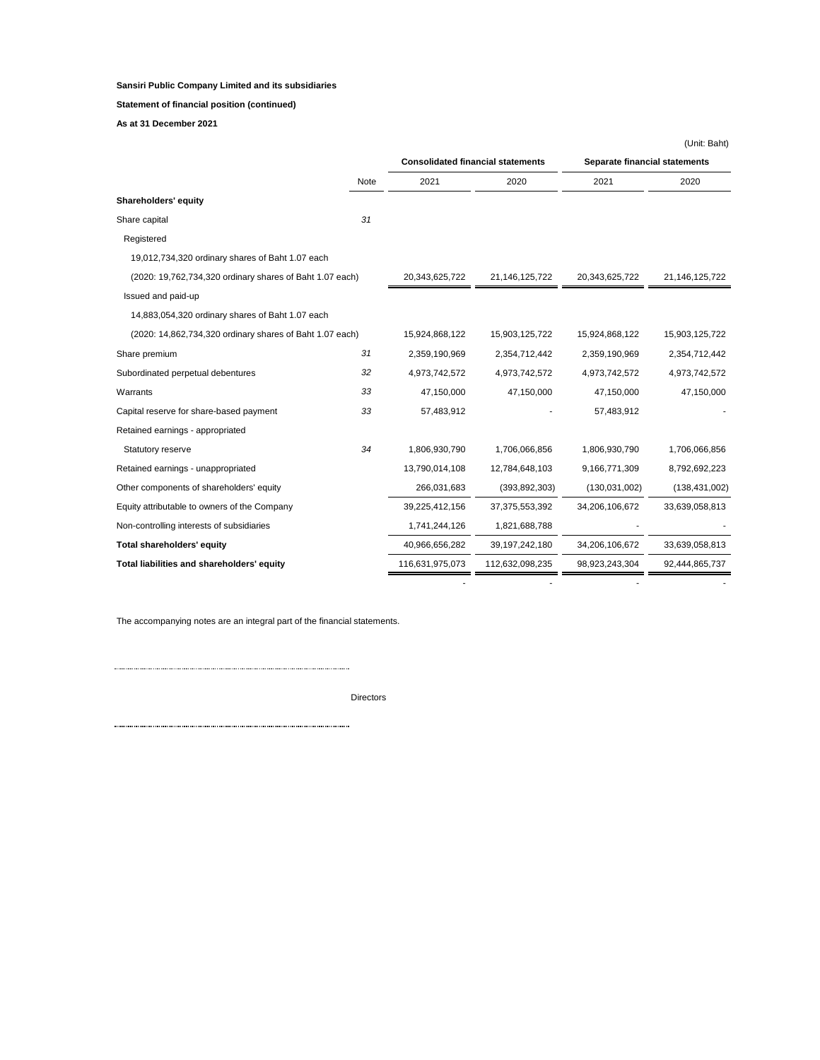# **Statement of financial position (continued)**

**As at 31 December 2021**

|                                                          |      |                                          |                   |                               | (Unit: Baht)    |
|----------------------------------------------------------|------|------------------------------------------|-------------------|-------------------------------|-----------------|
|                                                          |      | <b>Consolidated financial statements</b> |                   | Separate financial statements |                 |
|                                                          | Note | 2021                                     | 2020              | 2021                          | 2020            |
| Shareholders' equity                                     |      |                                          |                   |                               |                 |
| Share capital                                            | 31   |                                          |                   |                               |                 |
| Registered                                               |      |                                          |                   |                               |                 |
| 19,012,734,320 ordinary shares of Baht 1.07 each         |      |                                          |                   |                               |                 |
| (2020: 19,762,734,320 ordinary shares of Baht 1.07 each) |      | 20,343,625,722                           | 21,146,125,722    | 20,343,625,722                | 21,146,125,722  |
| Issued and paid-up                                       |      |                                          |                   |                               |                 |
| 14,883,054,320 ordinary shares of Baht 1.07 each         |      |                                          |                   |                               |                 |
| (2020: 14,862,734,320 ordinary shares of Baht 1.07 each) |      | 15,924,868,122                           | 15,903,125,722    | 15,924,868,122                | 15,903,125,722  |
| Share premium                                            | 31   | 2,359,190,969                            | 2,354,712,442     | 2,359,190,969                 | 2,354,712,442   |
| Subordinated perpetual debentures                        | 32   | 4,973,742,572                            | 4,973,742,572     | 4,973,742,572                 | 4,973,742,572   |
| Warrants                                                 | 33   | 47,150,000                               | 47,150,000        | 47,150,000                    | 47,150,000      |
| Capital reserve for share-based payment                  | 33   | 57,483,912                               |                   | 57,483,912                    |                 |
| Retained earnings - appropriated                         |      |                                          |                   |                               |                 |
| Statutory reserve                                        | 34   | 1,806,930,790                            | 1,706,066,856     | 1,806,930,790                 | 1,706,066,856   |
| Retained earnings - unappropriated                       |      | 13,790,014,108                           | 12,784,648,103    | 9,166,771,309                 | 8,792,692,223   |
| Other components of shareholders' equity                 |      | 266,031,683                              | (393, 892, 303)   | (130,031,002)                 | (138, 431, 002) |
| Equity attributable to owners of the Company             |      | 39,225,412,156                           | 37,375,553,392    | 34,206,106,672                | 33,639,058,813  |
| Non-controlling interests of subsidiaries                |      | 1,741,244,126                            | 1,821,688,788     |                               |                 |
| Total shareholders' equity                               |      | 40,966,656,282                           | 39, 197, 242, 180 | 34,206,106,672                | 33,639,058,813  |
| Total liabilities and shareholders' equity               |      | 116,631,975,073                          | 112,632,098,235   | 98,923,243,304                | 92,444,865,737  |
|                                                          |      |                                          |                   |                               |                 |

- - - -

The accompanying notes are an integral part of the financial statements.

Directors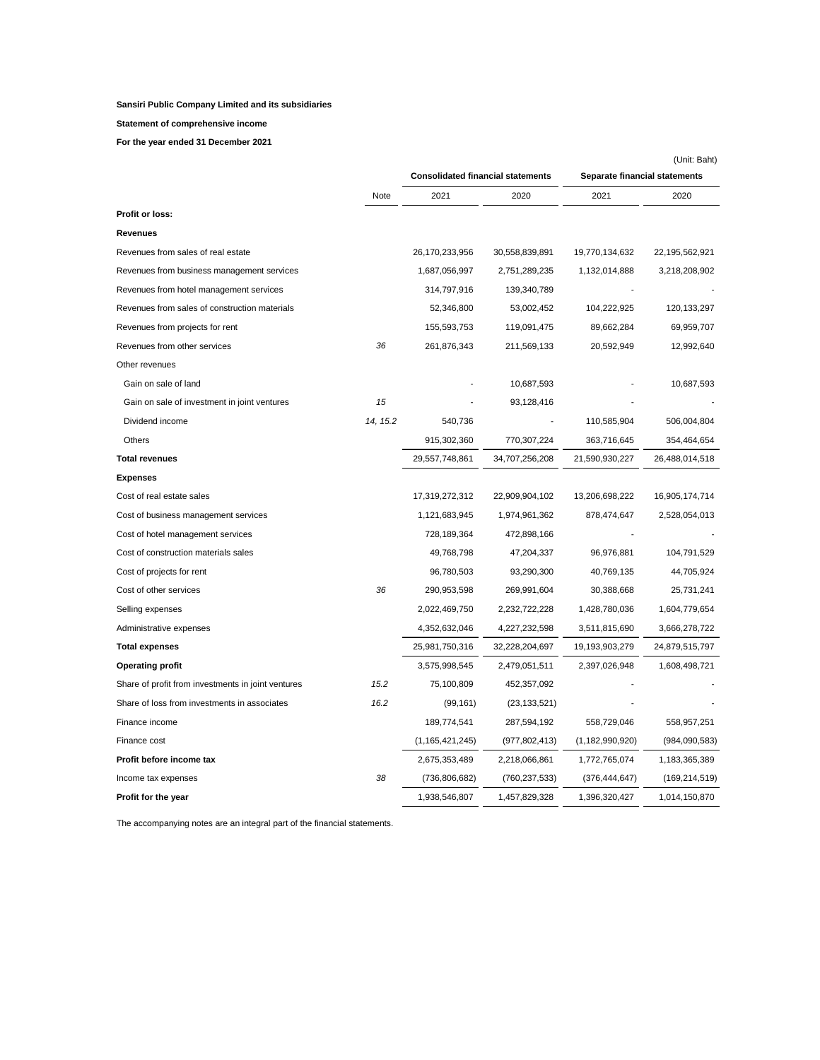### **Statement of comprehensive income**

**For the year ended 31 December 2021**

|                                                    |          |                                          |                 |                               | (Unit: Baht)    |
|----------------------------------------------------|----------|------------------------------------------|-----------------|-------------------------------|-----------------|
|                                                    |          | <b>Consolidated financial statements</b> |                 | Separate financial statements |                 |
|                                                    | Note     | 2021                                     | 2020            | 2021                          | 2020            |
| Profit or loss:                                    |          |                                          |                 |                               |                 |
| Revenues                                           |          |                                          |                 |                               |                 |
| Revenues from sales of real estate                 |          | 26,170,233,956                           | 30,558,839,891  | 19,770,134,632                | 22,195,562,921  |
| Revenues from business management services         |          | 1,687,056,997                            | 2,751,289,235   | 1,132,014,888                 | 3,218,208,902   |
| Revenues from hotel management services            |          | 314,797,916                              | 139,340,789     |                               |                 |
| Revenues from sales of construction materials      |          | 52,346,800                               | 53,002,452      | 104,222,925                   | 120, 133, 297   |
| Revenues from projects for rent                    |          | 155,593,753                              | 119,091,475     | 89,662,284                    | 69,959,707      |
| Revenues from other services                       | 36       | 261,876,343                              | 211,569,133     | 20,592,949                    | 12,992,640      |
| Other revenues                                     |          |                                          |                 |                               |                 |
| Gain on sale of land                               |          |                                          | 10,687,593      |                               | 10,687,593      |
| Gain on sale of investment in joint ventures       | 15       |                                          | 93,128,416      |                               |                 |
| Dividend income                                    | 14, 15.2 | 540,736                                  |                 | 110,585,904                   | 506,004,804     |
| Others                                             |          | 915,302,360                              | 770,307,224     | 363,716,645                   | 354,464,654     |
| <b>Total revenues</b>                              |          | 29,557,748,861                           | 34,707,256,208  | 21,590,930,227                | 26,488,014,518  |
| <b>Expenses</b>                                    |          |                                          |                 |                               |                 |
| Cost of real estate sales                          |          | 17,319,272,312                           | 22,909,904,102  | 13,206,698,222                | 16,905,174,714  |
| Cost of business management services               |          | 1,121,683,945                            | 1,974,961,362   | 878,474,647                   | 2,528,054,013   |
| Cost of hotel management services                  |          | 728,189,364                              | 472,898,166     |                               |                 |
| Cost of construction materials sales               |          | 49,768,798                               | 47,204,337      | 96,976,881                    | 104,791,529     |
| Cost of projects for rent                          |          | 96,780,503                               | 93,290,300      | 40,769,135                    | 44,705,924      |
| Cost of other services                             | 36       | 290,953,598                              | 269,991,604     | 30,388,668                    | 25,731,241      |
| Selling expenses                                   |          | 2,022,469,750                            | 2,232,722,228   | 1,428,780,036                 | 1,604,779,654   |
| Administrative expenses                            |          | 4,352,632,046                            | 4,227,232,598   | 3,511,815,690                 | 3,666,278,722   |
| <b>Total expenses</b>                              |          | 25,981,750,316                           | 32,228,204,697  | 19,193,903,279                | 24,879,515,797  |
| <b>Operating profit</b>                            |          | 3,575,998,545                            | 2,479,051,511   | 2,397,026,948                 | 1,608,498,721   |
| Share of profit from investments in joint ventures | 15.2     | 75,100,809                               | 452,357,092     |                               |                 |
| Share of loss from investments in associates       | 16.2     | (99, 161)                                | (23, 133, 521)  |                               |                 |
| Finance income                                     |          | 189,774,541                              | 287,594,192     | 558,729,046                   | 558,957,251     |
| Finance cost                                       |          | (1, 165, 421, 245)                       | (977, 802, 413) | (1, 182, 990, 920)            | (984,090,583)   |
| Profit before income tax                           |          | 2,675,353,489                            | 2,218,066,861   | 1,772,765,074                 | 1,183,365,389   |
| Income tax expenses                                | 38       | (736,806,682)                            | (760,237,533)   | (376, 444, 647)               | (169, 214, 519) |
| Profit for the year                                |          | 1,938,546,807                            | 1,457,829,328   | 1,396,320,427                 | 1,014,150,870   |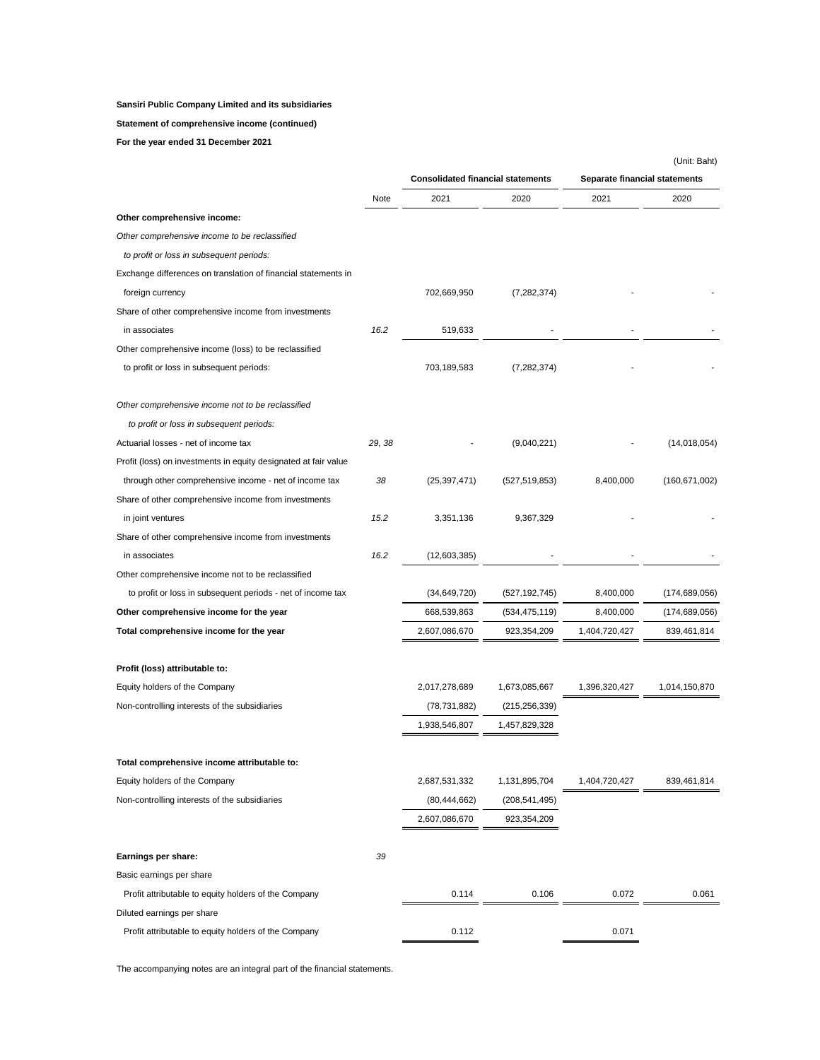### **Statement of comprehensive income (continued)**

**For the year ended 31 December 2021**

|                                                                 |        |                                          |                 |               | (Unit: Baht)                  |  |  |
|-----------------------------------------------------------------|--------|------------------------------------------|-----------------|---------------|-------------------------------|--|--|
|                                                                 |        | <b>Consolidated financial statements</b> |                 |               | Separate financial statements |  |  |
|                                                                 | Note   | 2021                                     | 2020            | 2021          | 2020                          |  |  |
| Other comprehensive income:                                     |        |                                          |                 |               |                               |  |  |
| Other comprehensive income to be reclassified                   |        |                                          |                 |               |                               |  |  |
| to profit or loss in subsequent periods:                        |        |                                          |                 |               |                               |  |  |
| Exchange differences on translation of financial statements in  |        |                                          |                 |               |                               |  |  |
| foreign currency                                                |        | 702,669,950                              | (7, 282, 374)   |               |                               |  |  |
| Share of other comprehensive income from investments            |        |                                          |                 |               |                               |  |  |
| in associates                                                   | 16.2   | 519,633                                  |                 |               |                               |  |  |
| Other comprehensive income (loss) to be reclassified            |        |                                          |                 |               |                               |  |  |
| to profit or loss in subsequent periods:                        |        | 703,189,583                              | (7, 282, 374)   |               |                               |  |  |
| Other comprehensive income not to be reclassified               |        |                                          |                 |               |                               |  |  |
| to profit or loss in subsequent periods:                        |        |                                          |                 |               |                               |  |  |
| Actuarial losses - net of income tax                            | 29, 38 |                                          | (9,040,221)     |               | (14, 018, 054)                |  |  |
| Profit (loss) on investments in equity designated at fair value |        |                                          |                 |               |                               |  |  |
| through other comprehensive income - net of income tax          | 38     | (25, 397, 471)                           | (527, 519, 853) | 8,400,000     | (160, 671, 002)               |  |  |
| Share of other comprehensive income from investments            |        |                                          |                 |               |                               |  |  |
| in joint ventures                                               | 15.2   | 3,351,136                                | 9,367,329       |               |                               |  |  |
| Share of other comprehensive income from investments            |        |                                          |                 |               |                               |  |  |
| in associates                                                   | 16.2   | (12,603,385)                             |                 |               |                               |  |  |
| Other comprehensive income not to be reclassified               |        |                                          |                 |               |                               |  |  |
| to profit or loss in subsequent periods - net of income tax     |        | (34, 649, 720)                           | (527, 192, 745) | 8,400,000     | (174, 689, 056)               |  |  |
| Other comprehensive income for the year                         |        | 668,539,863                              | (534, 475, 119) | 8,400,000     | (174, 689, 056)               |  |  |
| Total comprehensive income for the year                         |        | 2,607,086,670                            | 923,354,209     | 1,404,720,427 | 839,461,814                   |  |  |
| Profit (loss) attributable to:                                  |        |                                          |                 |               |                               |  |  |
| Equity holders of the Company                                   |        | 2,017,278,689                            | 1,673,085,667   | 1,396,320,427 | 1,014,150,870                 |  |  |
| Non-controlling interests of the subsidiaries                   |        | (78, 731, 882)                           | (215, 256, 339) |               |                               |  |  |
|                                                                 |        | 1,938,546,807                            | 1,457,829,328   |               |                               |  |  |
| Total comprehensive income attributable to:                     |        |                                          |                 |               |                               |  |  |
| Equity holders of the Company                                   |        | 2,687,531,332                            | 1,131,895,704   | 1,404,720,427 | 839,461,814                   |  |  |
| Non-controlling interests of the subsidiaries                   |        | (80, 444, 662)                           | (208, 541, 495) |               |                               |  |  |
|                                                                 |        | 2,607,086,670                            | 923,354,209     |               |                               |  |  |
| Earnings per share:                                             | 39     |                                          |                 |               |                               |  |  |
| Basic earnings per share                                        |        |                                          |                 |               |                               |  |  |
| Profit attributable to equity holders of the Company            |        | 0.114                                    | 0.106           | 0.072         | 0.061                         |  |  |
| Diluted earnings per share                                      |        |                                          |                 |               |                               |  |  |
| Profit attributable to equity holders of the Company            |        | 0.112                                    |                 | 0.071         |                               |  |  |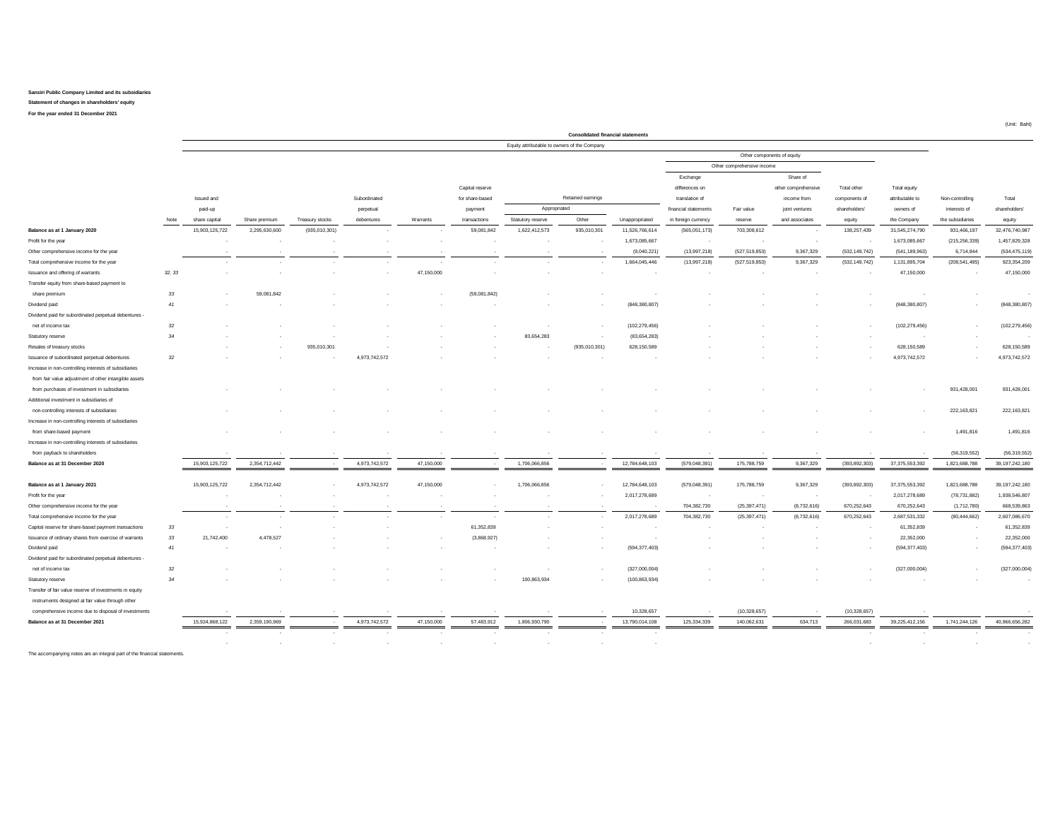**For the year ended 31 December 2021 Statement of changes in shareholders' equity**

**Consolidated financial statements** Equity attributable to owners of the Company Exchange Share of Capital reserve and the comprehensive Total differences on the comprehensive Total other Total other Total equity Issued and Subordinated for share-based for Retained earnings translation of translation of income from components of attributable to Non-controlling Total paid-up perpetual payment payment Appropriated and thancial statements Fair value joint ventures shareholders' owners of interests of shareholders' payment Note share capital Share premium Treasury stocks debentures Warrants transactions Statutory reserve Other Unappropriated in foreign currency reserve and associates equity the Company the subsidiaries equity **Balance as at 1 January 2020** 15,903,125,722 2,295,630,600 (935,010,301) - - 59,081,842 1,622,412,573 935,010,301 11,526,766,614 (565,051,173) 703,308,612 - 138,257,439 31,545,274,790 931,466,197 32,476,740,987 Profit for the year - - - - - - - - 1,673,085,667 - - - - 1,673,085,667 (215,256,339) 1,457,829,328 Other comprehensive income for the year - - - - - - - - (9,040,221) (13,997,218) (527,519,853) 9,367,329 (532,149,742) (541,189,963) 6,714,844 (534,475,119) Total comprehensive income for the year - - - - - - - - 1,664,045,446 (13,997,218) (527,519,853) 9,367,329 (532,149,742) 1,131,895,704 (208,541,495) 923,354,209 Issuance and offering of warrants *32, 33* - - - - 47,150,000 - - - - - - - - 47,150,000 - 47,150,000 Transfer equity from share-based payment to share premium *33* - 59,081,842 - - - (59,081,842) - - - - - - - - - - Dividend paid *41* - - - - - - - - (848,380,807) - - - - (848,380,807) - (848,380,807) Dividend paid for subordinated perpetual debentures net of income tax *32* - - - - - - - - (102,279,456) - - - - (102,279,456) - (102,279,456) Statutory reserve *34* - - - - - - 83,654,283 - (83,654,283) - - - - - - - Resales of treasury stocks - - 935,010,301 - - - - (935,010,301) 628,150,589 - - - - 628,150,589 - 628,150,589 Issuance of subordinated perpetual debentures *32* - - - 4,973,742,572 - - - - - - - - - 4,973,742,572 - 4,973,742,572 Increase in non-controlling interests of subsidiaries from fair value adjustment of other intangible assets from purchases of investment in subsidiaries - - - - - - - - - - - - - - 931,428,001 931,428,001 Additional investment in subsidiaries of non-controlling interests of subsidiaries - - - - - - - - - - - - - - 222,163,821 222,163,821 Increase in non-controlling interests of subsidiaries from share-based payment - - - - - - - - - - - - - - 1,491,816 1,491,816 Increase in non-controlling interests of subsidiaries from payback to shareholders - - - - - - - - - - - - - - (56,319,552) (56,319,552) **Balance as at 31 December 2020** 15,903,125,722 2,354,712,442 - 4,973,742,572 47,150,000 - 1,706,066,856 - 12,784,648,103 (579,048,391) 175,788,759 9,367,329 (393,892,303) 37,375,553,392 1,821,688,788 39,197,242,180 **Balance as at 1 January 2021** 15,903,125,722 2,354,712,442 - 4,973,742,572 47,150,000 - 1,706,066,856 - 12,784,648,103 (579,048,391) 175,788,759 9,367,329 (393,892,303) 37,375,553,392 1,821,688,788 39,197,242,180 Profit for the year - - - - - - - - 2,017,278,689 - - - - 2,017,278,689 (78,731,882) 1,938,546,807 Other comprehensive income for the year - - - - - - - - - 704,382,730 (25,397,471) (8,732,616) 670,252,643 670,252,643 (1,712,780) 668,539,863 Total comprehensive income for the year - - - - - - - - 2,017,278,689 704,382,730 (25,397,471) (8,732,616) 670,252,643 2,687,531,332 (80,444,662) 2,607,086,670 Capital reserve for share-based payment transactions *33* - - - - 61,352,839 - - - - - - - 61,352,839 - 61,352,839 Issuance of ordinary shares from exercise of warrants *33* 21,742,400 4,478,527 - - - (3,868,927) - - - - - - - 22,352,000 - 22,352,000 Dividend paid *41* - - - - - - - - (594,377,403) - - - - (594,377,403) - (594,377,403) Dividend paid for subordinated perpetual debentures net of income tax *32* - - - - - - - - (327,000,004) - - - - (327,000,004) - (327,000,004) Statutory reserve *34* - - - - - - 100,863,934 - (100,863,934) - - - - - - - Transfer of fair value reserve of investments in equity instruments designed at fair value through other comprehensive income due to disposal of investments results and the comprehensive income of the comprehensive income of the comprehensive income of the comprehensive income of the comprehensive income of the comprehensive **Balance as at 31 December 2021** 15,924,868,122 2,359,190,969 - 4,973,742,572 47,150,000 57,483,912 1,806,930,790 - 13,790,014,108 125,334,339 140,062,631 634,713 266,031,683 39,225,412,156 1,741,244,126 40,966,656,282 - - - - - - - - - - - - - - - - - - - - - - - - - - Retained earnings Appropriated Other components of equity Other comprehensive income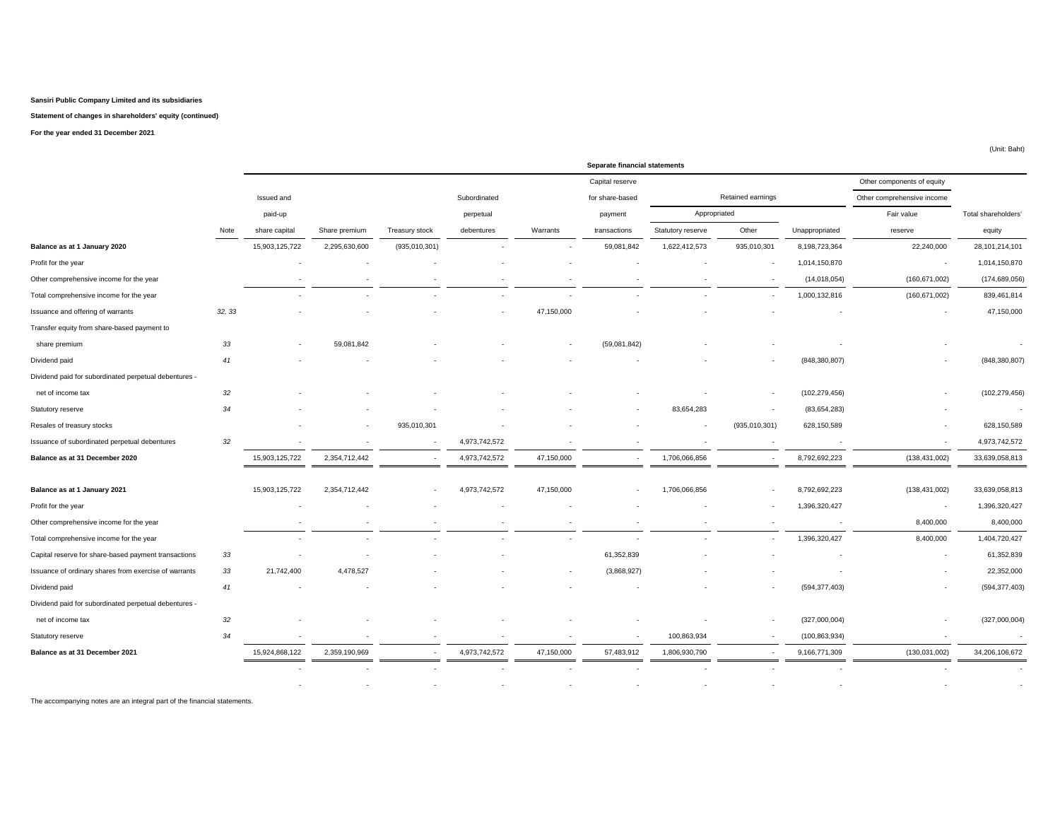### **Statement of changes in shareholders' equity (continued)**

**For the year ended 31 December 2021**

|                                                       |        |                |               |                |               |            | Separate financial statements |                          |                          |                 |                            |                     |
|-------------------------------------------------------|--------|----------------|---------------|----------------|---------------|------------|-------------------------------|--------------------------|--------------------------|-----------------|----------------------------|---------------------|
|                                                       |        |                |               |                |               |            | Capital reserve               |                          |                          |                 | Other components of equity |                     |
|                                                       |        | Issued and     |               |                | Subordinated  |            | for share-based               |                          | Retained earnings        |                 | Other comprehensive income |                     |
|                                                       |        | paid-up        |               |                | perpetual     |            | payment                       | Appropriated             |                          |                 | Fair value                 | Total shareholders' |
|                                                       | Note   | share capital  | Share premium | Treasury stock | debentures    | Warrants   | transactions                  | Statutory reserve        | Other                    | Unappropriated  | reserve                    | equity              |
| Balance as at 1 January 2020                          |        | 15,903,125,722 | 2,295,630,600 | (935,010,301)  |               |            | 59,081,842                    | 1,622,412,573            | 935,010,301              | 8,198,723,364   | 22,240,000                 | 28,101,214,101      |
| Profit for the year                                   |        |                |               |                |               |            |                               |                          |                          | 1,014,150,870   | $\overline{\phantom{a}}$   | 1,014,150,870       |
| Other comprehensive income for the year               |        |                |               |                |               |            |                               |                          |                          | (14, 018, 054)  | (160, 671, 002)            | (174, 689, 056)     |
| Total comprehensive income for the year               |        |                |               |                |               | ۰.         |                               |                          |                          | 1,000,132,816   | (160, 671, 002)            | 839,461,814         |
| Issuance and offering of warrants                     | 32, 33 |                |               |                |               | 47,150,000 |                               |                          |                          |                 |                            | 47,150,000          |
| Transfer equity from share-based payment to           |        |                |               |                |               |            |                               |                          |                          |                 |                            |                     |
| share premium                                         | 33     |                | 59,081,842    |                |               |            | (59,081,842)                  |                          |                          |                 |                            |                     |
| Dividend paid                                         | 41     |                |               |                |               |            |                               |                          |                          | (848, 380, 807) |                            | (848, 380, 807)     |
| Dividend paid for subordinated perpetual debentures - |        |                |               |                |               |            |                               |                          |                          |                 |                            |                     |
| net of income tax                                     | 32     |                |               |                |               |            |                               |                          | $\overline{\phantom{a}}$ | (102, 279, 456) |                            | (102, 279, 456)     |
| Statutory reserve                                     | 34     |                |               |                |               |            |                               | 83,654,283               |                          | (83, 654, 283)  |                            |                     |
| Resales of treasury stocks                            |        |                |               | 935,010,301    |               |            |                               | $\overline{\phantom{a}}$ | (935,010,301)            | 628,150,589     |                            | 628,150,589         |
| Issuance of subordinated perpetual debentures         | 32     |                |               |                | 4,973,742,572 |            |                               |                          |                          |                 |                            | 4,973,742,572       |
| Balance as at 31 December 2020                        |        | 15,903,125,722 | 2,354,712,442 | $\cdot$        | 4,973,742,572 | 47,150,000 | $\overline{\phantom{a}}$      | 1,706,066,856            | $\overline{\phantom{a}}$ | 8,792,692,223   | (138, 431, 002)            | 33,639,058,813      |
|                                                       |        |                |               |                |               |            |                               |                          |                          |                 |                            |                     |
| Balance as at 1 January 2021                          |        | 15,903,125,722 | 2,354,712,442 | ٠              | 4,973,742,572 | 47,150,000 |                               | 1,706,066,856            |                          | 8,792,692,223   | (138, 431, 002)            | 33,639,058,813      |
| Profit for the year                                   |        |                |               |                |               |            |                               |                          |                          | 1,396,320,427   | ٠                          | 1,396,320,427       |
| Other comprehensive income for the year               |        |                |               |                |               |            |                               |                          |                          |                 | 8,400,000                  | 8,400,000           |
| Total comprehensive income for the year               |        |                |               |                |               |            |                               |                          |                          | 1,396,320,427   | 8,400,000                  | 1,404,720,427       |
| Capital reserve for share-based payment transactions  | 33     |                |               |                |               |            | 61,352,839                    |                          |                          |                 |                            | 61,352,839          |
| Issuance of ordinary shares from exercise of warrants | 33     | 21,742,400     | 4,478,527     |                |               |            | (3,868,927)                   |                          |                          |                 |                            | 22,352,000          |
| Dividend paid                                         | 41     |                |               |                |               |            |                               |                          |                          | (594, 377, 403) |                            | (594, 377, 403)     |
| Dividend paid for subordinated perpetual debentures - |        |                |               |                |               |            |                               |                          |                          |                 |                            |                     |
| net of income tax                                     | 32     |                |               |                |               |            |                               |                          |                          | (327,000,004)   |                            | (327,000,004)       |
| Statutory reserve                                     | 34     |                |               |                |               |            |                               | 100,863,934              |                          | (100, 863, 934) |                            |                     |
| Balance as at 31 December 2021                        |        | 15,924,868,122 | 2,359,190,969 |                | 4,973,742,572 | 47,150,000 | 57,483,912                    | 1,806,930,790            |                          | 9,166,771,309   | (130, 031, 002)            | 34,206,106,672      |
|                                                       |        |                |               |                |               |            |                               |                          |                          |                 |                            |                     |
|                                                       |        |                |               |                |               |            |                               |                          |                          |                 |                            |                     |

The accompanying notes are an integral part of the financial statements.

(Unit: Baht)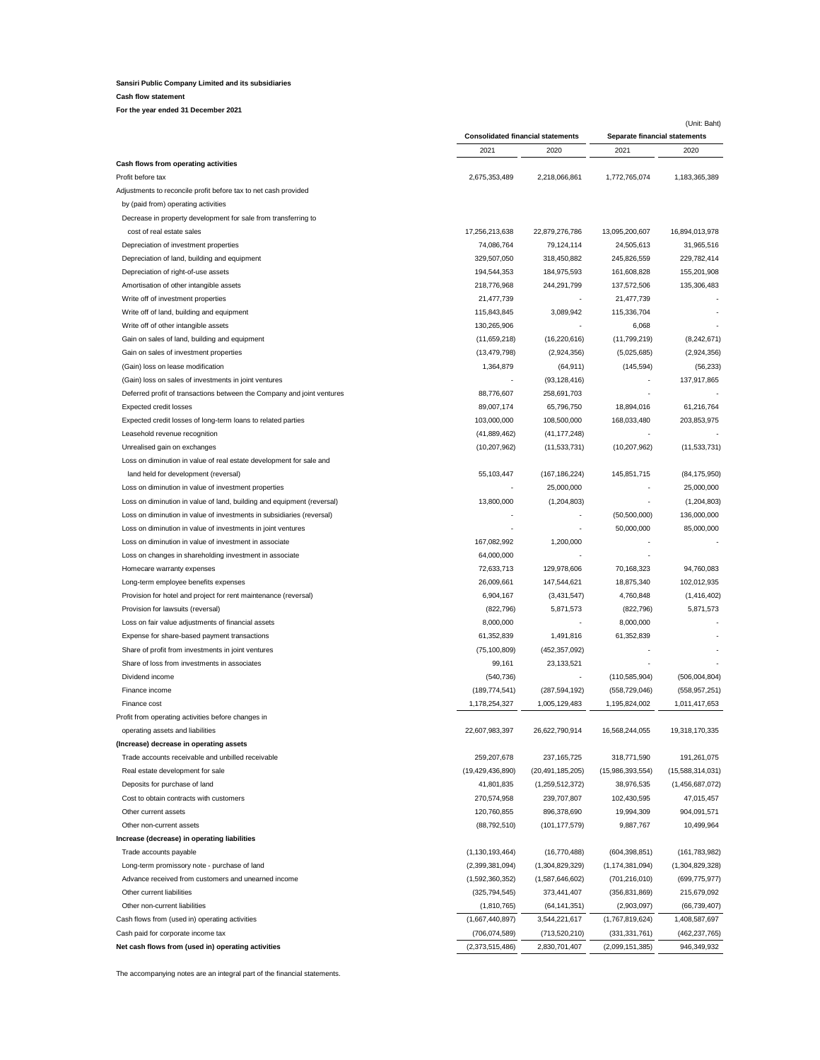### **Cash flow statement**

**For the year ended 31 December 2021**

|                                                                        | <b>Consolidated financial statements</b> |                     | (Unit: Baht)<br>Separate financial statements |                  |  |
|------------------------------------------------------------------------|------------------------------------------|---------------------|-----------------------------------------------|------------------|--|
|                                                                        | 2021                                     | 2020                | 2021                                          | 2020             |  |
| Cash flows from operating activities                                   |                                          |                     |                                               |                  |  |
| Profit before tax                                                      | 2,675,353,489                            | 2,218,066,861       | 1,772,765,074                                 | 1,183,365,389    |  |
| Adjustments to reconcile profit before tax to net cash provided        |                                          |                     |                                               |                  |  |
| by (paid from) operating activities                                    |                                          |                     |                                               |                  |  |
| Decrease in property development for sale from transferring to         |                                          |                     |                                               |                  |  |
| cost of real estate sales                                              | 17,256,213,638                           | 22,879,276,786      | 13,095,200,607                                | 16,894,013,978   |  |
| Depreciation of investment properties                                  | 74,086,764                               | 79,124,114          | 24,505,613                                    | 31,965,516       |  |
| Depreciation of land, building and equipment                           | 329,507,050                              | 318,450,882         | 245,826,559                                   | 229,782,414      |  |
| Depreciation of right-of-use assets                                    | 194,544,353                              | 184,975,593         | 161,608,828                                   | 155,201,908      |  |
| Amortisation of other intangible assets                                | 218,776,968                              | 244,291,799         | 137,572,506                                   | 135,306,483      |  |
| Write off of investment properties                                     | 21,477,739                               |                     | 21,477,739                                    |                  |  |
| Write off of land, building and equipment                              | 115,843,845                              | 3,089,942           | 115,336,704                                   |                  |  |
| Write off of other intangible assets                                   | 130,265,906                              |                     | 6,068                                         |                  |  |
| Gain on sales of land, building and equipment                          | (11,659,218)                             | (16, 220, 616)      | (11,799,219)                                  | (8,242,671)      |  |
| Gain on sales of investment properties                                 | (13, 479, 798)                           | (2,924,356)         | (5,025,685)                                   | (2,924,356)      |  |
| (Gain) loss on lease modification                                      | 1,364,879                                | (64, 911)           | (145, 594)                                    | (56, 233)        |  |
| (Gain) loss on sales of investments in joint ventures                  |                                          | (93, 128, 416)      |                                               | 137,917,865      |  |
| Deferred profit of transactions between the Company and joint ventures | 88,776,607                               | 258,691,703         |                                               |                  |  |
| Expected credit losses                                                 | 89,007,174                               | 65,796,750          | 18,894,016                                    | 61,216,764       |  |
| Expected credit losses of long-term loans to related parties           | 103,000,000                              | 108,500,000         | 168,033,480                                   | 203,853,975      |  |
| Leasehold revenue recognition                                          | (41,889,462)                             | (41, 177, 248)      |                                               |                  |  |
| Unrealised gain on exchanges                                           | (10, 207, 962)                           | (11, 533, 731)      | (10, 207, 962)                                | (11, 533, 731)   |  |
| Loss on diminution in value of real estate development for sale and    |                                          |                     |                                               |                  |  |
| land held for development (reversal)                                   | 55,103,447                               | (167, 186, 224)     | 145,851,715                                   | (84, 175, 950)   |  |
| Loss on diminution in value of investment properties                   |                                          | 25,000,000          |                                               | 25,000,000       |  |
| Loss on diminution in value of land, building and equipment (reversal) | 13,800,000                               | (1,204,803)         |                                               | (1, 204, 803)    |  |
| Loss on diminution in value of investments in subsidiaries (reversal)  |                                          | ٠                   | (50, 500, 000)                                | 136,000,000      |  |
| Loss on diminution in value of investments in joint ventures           |                                          |                     | 50,000,000                                    | 85,000,000       |  |
| Loss on diminution in value of investment in associate                 | 167,082,992                              | 1,200,000           |                                               |                  |  |
| Loss on changes in shareholding investment in associate                | 64,000,000                               |                     |                                               |                  |  |
| Homecare warranty expenses                                             | 72,633,713                               | 129,978,606         | 70,168,323                                    | 94,760,083       |  |
| Long-term employee benefits expenses                                   | 26,009,661                               | 147,544,621         | 18,875,340                                    | 102,012,935      |  |
| Provision for hotel and project for rent maintenance (reversal)        | 6,904,167                                | (3,431,547)         | 4,760,848                                     | (1, 416, 402)    |  |
| Provision for lawsuits (reversal)                                      | (822, 796)                               | 5,871,573           | (822, 796)                                    | 5,871,573        |  |
| Loss on fair value adjustments of financial assets                     | 8,000,000                                |                     | 8,000,000                                     |                  |  |
| Expense for share-based payment transactions                           | 61,352,839                               | 1,491,816           | 61,352,839                                    |                  |  |
| Share of profit from investments in joint ventures                     | (75, 100, 809)                           | (452, 357, 092)     |                                               |                  |  |
| Share of loss from investments in associates                           | 99,161                                   | 23,133,521          |                                               |                  |  |
| Dividend income                                                        | (540, 736)                               |                     | (110, 585, 904)                               | (506, 004, 804)  |  |
| Finance income                                                         | (189, 774, 541)                          | (287, 594, 192)     | (558, 729, 046)                               | (558, 957, 251)  |  |
| Finance cost                                                           | 1,178,254,327                            | 1,005,129,483       | 1,195,824,002                                 | 1,011,417,653    |  |
| Profit from operating activities before changes in                     |                                          |                     |                                               |                  |  |
| operating assets and liabilities                                       | 22,607,983,397                           | 26,622,790,914      | 16,568,244,055                                | 19,318,170,335   |  |
| (Increase) decrease in operating assets                                |                                          |                     |                                               |                  |  |
| Trade accounts receivable and unbilled receivable                      | 259,207,678                              | 237, 165, 725       | 318,771,590                                   | 191,261,075      |  |
| Real estate development for sale                                       | (19, 429, 436, 890)                      | (20, 491, 185, 205) | (15,986,393,554)                              | (15,588,314,031) |  |
| Deposits for purchase of land                                          | 41,801,835                               | (1,259,512,372)     | 38,976,535                                    | (1,456,687,072)  |  |
| Cost to obtain contracts with customers                                | 270,574,958                              | 239,707,807         | 102,430,595                                   | 47,015,457       |  |
| Other current assets                                                   | 120,760,855                              | 896,378,690         | 19,994,309                                    | 904,091,571      |  |
| Other non-current assets                                               | (88,792,510)                             | (101, 177, 579)     | 9,887,767                                     | 10,499,964       |  |
| Increase (decrease) in operating liabilities                           |                                          |                     |                                               |                  |  |
| Trade accounts payable                                                 | (1, 130, 193, 464)                       | (16,770,488)        | (604, 398, 851)                               | (161, 783, 982)  |  |
| Long-term promissory note - purchase of land                           | (2,399,381,094)                          | (1,304,829,329)     | (1, 174, 381, 094)                            | (1,304,829,328)  |  |
| Advance received from customers and unearned income                    | (1,592,360,352)                          | (1,587,646,602)     | (701, 216, 010)                               | (699, 775, 977)  |  |
| Other current liabilities                                              | (325, 794, 545)                          | 373,441,407         | (356, 831, 869)                               | 215,679,092      |  |
| Other non-current liabilities                                          | (1,810,765)                              | (64, 141, 351)      | (2,903,097)                                   | (66, 739, 407)   |  |
| Cash flows from (used in) operating activities                         | (1,667,440,897)                          | 3,544,221,617       | (1,767,819,624)                               | 1,408,587,697    |  |
| Cash paid for corporate income tax                                     | (706, 074, 589)                          | (713, 520, 210)     | (331, 331, 761)                               | (462, 237, 765)  |  |
| Net cash flows from (used in) operating activities                     | (2,373,515,486)                          | 2,830,701,407       | (2,099,151,385)                               | 946,349,932      |  |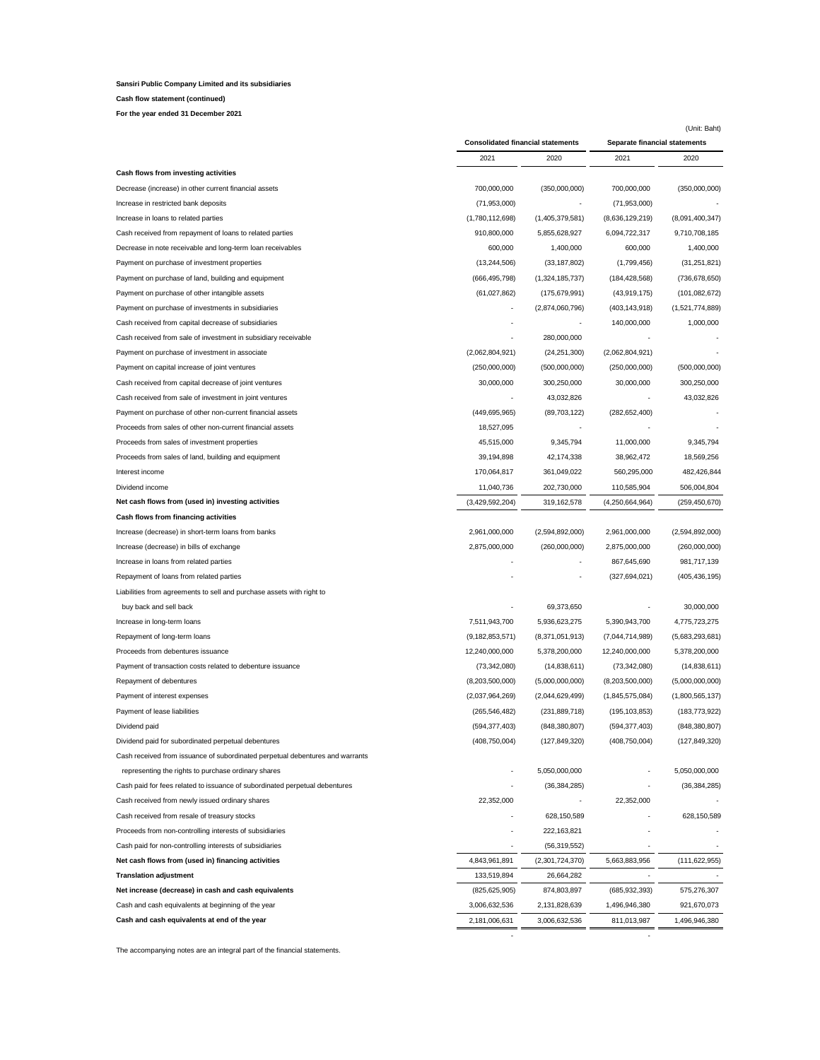**Cash flow statement (continued)**

**For the year ended 31 December 2021**

| <b>Consolidated financial statements</b><br>Separate financial statements<br>2020<br>2020<br>2021<br>2021<br>Cash flows from investing activities<br>700,000,000<br>700,000,000<br>(350,000,000)<br>Decrease (increase) in other current financial assets<br>(350,000,000)<br>Increase in restricted bank deposits<br>(71,953,000)<br>(71,953,000)<br>(1,780,112,698)<br>(1,405,379,581)<br>(8,091,400,347)<br>Increase in loans to related parties<br>(8,636,129,219)<br>Cash received from repayment of loans to related parties<br>910,800,000<br>5,855,628,927<br>6,094,722,317<br>9,710,708,185<br>Decrease in note receivable and long-term loan receivables<br>600,000<br>1,400,000<br>600,000<br>1,400,000<br>Payment on purchase of investment properties<br>(13,244,506)<br>(33, 187, 802)<br>(1,799,456)<br>(31, 251, 821)<br>Payment on purchase of land, building and equipment<br>(666, 495, 798)<br>(1,324,185,737)<br>(184, 428, 568)<br>(736, 678, 650)<br>Payment on purchase of other intangible assets<br>(61,027,862)<br>(175, 679, 991)<br>(43,919,175)<br>(101, 082, 672)<br>Payment on purchase of investments in subsidiaries<br>(1,521,774,889)<br>(2,874,060,796)<br>(403, 143, 918)<br>140,000,000<br>1,000,000<br>Cash received from capital decrease of subsidiaries<br>280,000,000<br>Cash received from sale of investment in subsidiary receivable<br>Payment on purchase of investment in associate<br>(2,062,804,921)<br>(24, 251, 300)<br>(2,062,804,921)<br>(500,000,000)<br>Payment on capital increase of joint ventures<br>(250,000,000)<br>(500,000,000)<br>(250,000,000)<br>Cash received from capital decrease of joint ventures<br>30,000,000<br>300,250,000<br>30,000,000<br>300,250,000<br>43,032,826<br>43,032,826<br>Cash received from sale of investment in joint ventures<br>Payment on purchase of other non-current financial assets<br>(449, 695, 965)<br>(89,703,122)<br>(282, 652, 400)<br>Proceeds from sales of other non-current financial assets<br>18,527,095<br>Proceeds from sales of investment properties<br>45,515,000<br>9,345,794<br>11,000,000<br>9,345,794<br>Proceeds from sales of land, building and equipment<br>39,194,898<br>42,174,338<br>38,962,472<br>18,569,256<br>Interest income<br>170,064,817<br>361,049,022<br>560,295,000<br>482,426,844<br>Dividend income<br>11,040,736<br>202,730,000<br>110,585,904<br>506,004,804<br>Net cash flows from (used in) investing activities<br>(3,429,592,204)<br>319,162,578<br>(4,250,664,964)<br>(259, 450, 670)<br>Cash flows from financing activities<br>2,961,000,000<br>Increase (decrease) in short-term loans from banks<br>(2,594,892,000)<br>2,961,000,000<br>(2,594,892,000)<br>Increase (decrease) in bills of exchange<br>2,875,000,000<br>(260,000,000)<br>2,875,000,000<br>(260,000,000)<br>Increase in loans from related parties<br>867,645,690<br>981,717,139<br>Repayment of loans from related parties<br>(327, 694, 021)<br>(405, 436, 195)<br>Liabilities from agreements to sell and purchase assets with right to<br>30,000,000<br>buy back and sell back<br>69,373,650<br>Increase in long-term loans<br>7,511,943,700<br>5,936,623,275<br>5,390,943,700<br>4,775,723,275<br>Repayment of long-term loans<br>(9, 182, 853, 571)<br>(8,371,051,913)<br>(7,044,714,989)<br>(5,683,293,681)<br>Proceeds from debentures issuance<br>12,240,000,000<br>5,378,200,000<br>12,240,000,000<br>5,378,200,000<br>Payment of transaction costs related to debenture issuance<br>(73, 342, 080)<br>(14,838,611)<br>(73, 342, 080)<br>(14,838,611)<br>Repayment of debentures<br>(8,203,500,000)<br>(5,000,000,000)<br>(8,203,500,000)<br>(5,000,000,000)<br>Payment of interest expenses<br>(2,037,964,269)<br>(2,044,629,499)<br>(1,845,575,084)<br>(1,800,565,137)<br>Payment of lease liabilities<br>(265, 546, 482)<br>(231, 889, 718)<br>(195, 103, 853)<br>(183, 773, 922)<br>Dividend paid<br>(594, 377, 403)<br>(594, 377, 403)<br>(848, 380, 807)<br>(848, 380, 807)<br>Dividend paid for subordinated perpetual debentures<br>(408, 750, 004)<br>(127, 849, 320)<br>(408, 750, 004)<br>(127, 849, 320)<br>Cash received from issuance of subordinated perpetual debentures and warrants<br>representing the rights to purchase ordinary shares<br>5,050,000,000<br>5,050,000,000<br>Cash paid for fees related to issuance of subordinated perpetual debentures<br>(36, 384, 285)<br>(36, 384, 285)<br>22,352,000<br>22,352,000<br>Cash received from newly issued ordinary shares<br>Cash received from resale of treasury stocks<br>628,150,589<br>628,150,589<br>Proceeds from non-controlling interests of subsidiaries<br>222,163,821<br>Cash paid for non-controlling interests of subsidiaries<br>(56, 319, 552)<br>Net cash flows from (used in) financing activities<br>4,843,961,891<br>(2,301,724,370)<br>5,663,883,956<br>(111, 622, 955)<br><b>Translation adjustment</b><br>133,519,894<br>26,664,282<br>٠<br>Net increase (decrease) in cash and cash equivalents<br>(825, 625, 905)<br>874,803,897<br>(685, 932, 393)<br>575,276,307<br>Cash and cash equivalents at beginning of the year<br>921,670,073<br>3,006,632,536<br>2,131,828,639<br>1,496,946,380<br>Cash and cash equivalents at end of the year<br>2,181,006,631<br>3,006,632,536<br>811,013,987<br>1,496,946,380 |  |  | (Unit: Baht) |  |
|------------------------------------------------------------------------------------------------------------------------------------------------------------------------------------------------------------------------------------------------------------------------------------------------------------------------------------------------------------------------------------------------------------------------------------------------------------------------------------------------------------------------------------------------------------------------------------------------------------------------------------------------------------------------------------------------------------------------------------------------------------------------------------------------------------------------------------------------------------------------------------------------------------------------------------------------------------------------------------------------------------------------------------------------------------------------------------------------------------------------------------------------------------------------------------------------------------------------------------------------------------------------------------------------------------------------------------------------------------------------------------------------------------------------------------------------------------------------------------------------------------------------------------------------------------------------------------------------------------------------------------------------------------------------------------------------------------------------------------------------------------------------------------------------------------------------------------------------------------------------------------------------------------------------------------------------------------------------------------------------------------------------------------------------------------------------------------------------------------------------------------------------------------------------------------------------------------------------------------------------------------------------------------------------------------------------------------------------------------------------------------------------------------------------------------------------------------------------------------------------------------------------------------------------------------------------------------------------------------------------------------------------------------------------------------------------------------------------------------------------------------------------------------------------------------------------------------------------------------------------------------------------------------------------------------------------------------------------------------------------------------------------------------------------------------------------------------------------------------------------------------------------------------------------------------------------------------------------------------------------------------------------------------------------------------------------------------------------------------------------------------------------------------------------------------------------------------------------------------------------------------------------------------------------------------------------------------------------------------------------------------------------------------------------------------------------------------------------------------------------------------------------------------------------------------------------------------------------------------------------------------------------------------------------------------------------------------------------------------------------------------------------------------------------------------------------------------------------------------------------------------------------------------------------------------------------------------------------------------------------------------------------------------------------------------------------------------------------------------------------------------------------------------------------------------------------------------------------------------------------------------------------------------------------------------------------------------------------------------------------------------------------------------------------------------------------------------------------------------------------------------------------------------------------------------------------------------------------------------------------------------------------------------------------------------------------------------------------------------------------------------------------------------------------------------------------------------------------------------------------------------------------------------------------------------------------------------------------------------------------------------------------------------------------------------------------------------------------|--|--|--------------|--|
|                                                                                                                                                                                                                                                                                                                                                                                                                                                                                                                                                                                                                                                                                                                                                                                                                                                                                                                                                                                                                                                                                                                                                                                                                                                                                                                                                                                                                                                                                                                                                                                                                                                                                                                                                                                                                                                                                                                                                                                                                                                                                                                                                                                                                                                                                                                                                                                                                                                                                                                                                                                                                                                                                                                                                                                                                                                                                                                                                                                                                                                                                                                                                                                                                                                                                                                                                                                                                                                                                                                                                                                                                                                                                                                                                                                                                                                                                                                                                                                                                                                                                                                                                                                                                                                                                                                                                                                                                                                                                                                                                                                                                                                                                                                                                                                                                                                                                                                                                                                                                                                                                                                                                                                                                                                                                                                                                |  |  |              |  |
|                                                                                                                                                                                                                                                                                                                                                                                                                                                                                                                                                                                                                                                                                                                                                                                                                                                                                                                                                                                                                                                                                                                                                                                                                                                                                                                                                                                                                                                                                                                                                                                                                                                                                                                                                                                                                                                                                                                                                                                                                                                                                                                                                                                                                                                                                                                                                                                                                                                                                                                                                                                                                                                                                                                                                                                                                                                                                                                                                                                                                                                                                                                                                                                                                                                                                                                                                                                                                                                                                                                                                                                                                                                                                                                                                                                                                                                                                                                                                                                                                                                                                                                                                                                                                                                                                                                                                                                                                                                                                                                                                                                                                                                                                                                                                                                                                                                                                                                                                                                                                                                                                                                                                                                                                                                                                                                                                |  |  |              |  |
|                                                                                                                                                                                                                                                                                                                                                                                                                                                                                                                                                                                                                                                                                                                                                                                                                                                                                                                                                                                                                                                                                                                                                                                                                                                                                                                                                                                                                                                                                                                                                                                                                                                                                                                                                                                                                                                                                                                                                                                                                                                                                                                                                                                                                                                                                                                                                                                                                                                                                                                                                                                                                                                                                                                                                                                                                                                                                                                                                                                                                                                                                                                                                                                                                                                                                                                                                                                                                                                                                                                                                                                                                                                                                                                                                                                                                                                                                                                                                                                                                                                                                                                                                                                                                                                                                                                                                                                                                                                                                                                                                                                                                                                                                                                                                                                                                                                                                                                                                                                                                                                                                                                                                                                                                                                                                                                                                |  |  |              |  |
|                                                                                                                                                                                                                                                                                                                                                                                                                                                                                                                                                                                                                                                                                                                                                                                                                                                                                                                                                                                                                                                                                                                                                                                                                                                                                                                                                                                                                                                                                                                                                                                                                                                                                                                                                                                                                                                                                                                                                                                                                                                                                                                                                                                                                                                                                                                                                                                                                                                                                                                                                                                                                                                                                                                                                                                                                                                                                                                                                                                                                                                                                                                                                                                                                                                                                                                                                                                                                                                                                                                                                                                                                                                                                                                                                                                                                                                                                                                                                                                                                                                                                                                                                                                                                                                                                                                                                                                                                                                                                                                                                                                                                                                                                                                                                                                                                                                                                                                                                                                                                                                                                                                                                                                                                                                                                                                                                |  |  |              |  |
|                                                                                                                                                                                                                                                                                                                                                                                                                                                                                                                                                                                                                                                                                                                                                                                                                                                                                                                                                                                                                                                                                                                                                                                                                                                                                                                                                                                                                                                                                                                                                                                                                                                                                                                                                                                                                                                                                                                                                                                                                                                                                                                                                                                                                                                                                                                                                                                                                                                                                                                                                                                                                                                                                                                                                                                                                                                                                                                                                                                                                                                                                                                                                                                                                                                                                                                                                                                                                                                                                                                                                                                                                                                                                                                                                                                                                                                                                                                                                                                                                                                                                                                                                                                                                                                                                                                                                                                                                                                                                                                                                                                                                                                                                                                                                                                                                                                                                                                                                                                                                                                                                                                                                                                                                                                                                                                                                |  |  |              |  |
|                                                                                                                                                                                                                                                                                                                                                                                                                                                                                                                                                                                                                                                                                                                                                                                                                                                                                                                                                                                                                                                                                                                                                                                                                                                                                                                                                                                                                                                                                                                                                                                                                                                                                                                                                                                                                                                                                                                                                                                                                                                                                                                                                                                                                                                                                                                                                                                                                                                                                                                                                                                                                                                                                                                                                                                                                                                                                                                                                                                                                                                                                                                                                                                                                                                                                                                                                                                                                                                                                                                                                                                                                                                                                                                                                                                                                                                                                                                                                                                                                                                                                                                                                                                                                                                                                                                                                                                                                                                                                                                                                                                                                                                                                                                                                                                                                                                                                                                                                                                                                                                                                                                                                                                                                                                                                                                                                |  |  |              |  |
|                                                                                                                                                                                                                                                                                                                                                                                                                                                                                                                                                                                                                                                                                                                                                                                                                                                                                                                                                                                                                                                                                                                                                                                                                                                                                                                                                                                                                                                                                                                                                                                                                                                                                                                                                                                                                                                                                                                                                                                                                                                                                                                                                                                                                                                                                                                                                                                                                                                                                                                                                                                                                                                                                                                                                                                                                                                                                                                                                                                                                                                                                                                                                                                                                                                                                                                                                                                                                                                                                                                                                                                                                                                                                                                                                                                                                                                                                                                                                                                                                                                                                                                                                                                                                                                                                                                                                                                                                                                                                                                                                                                                                                                                                                                                                                                                                                                                                                                                                                                                                                                                                                                                                                                                                                                                                                                                                |  |  |              |  |
|                                                                                                                                                                                                                                                                                                                                                                                                                                                                                                                                                                                                                                                                                                                                                                                                                                                                                                                                                                                                                                                                                                                                                                                                                                                                                                                                                                                                                                                                                                                                                                                                                                                                                                                                                                                                                                                                                                                                                                                                                                                                                                                                                                                                                                                                                                                                                                                                                                                                                                                                                                                                                                                                                                                                                                                                                                                                                                                                                                                                                                                                                                                                                                                                                                                                                                                                                                                                                                                                                                                                                                                                                                                                                                                                                                                                                                                                                                                                                                                                                                                                                                                                                                                                                                                                                                                                                                                                                                                                                                                                                                                                                                                                                                                                                                                                                                                                                                                                                                                                                                                                                                                                                                                                                                                                                                                                                |  |  |              |  |
|                                                                                                                                                                                                                                                                                                                                                                                                                                                                                                                                                                                                                                                                                                                                                                                                                                                                                                                                                                                                                                                                                                                                                                                                                                                                                                                                                                                                                                                                                                                                                                                                                                                                                                                                                                                                                                                                                                                                                                                                                                                                                                                                                                                                                                                                                                                                                                                                                                                                                                                                                                                                                                                                                                                                                                                                                                                                                                                                                                                                                                                                                                                                                                                                                                                                                                                                                                                                                                                                                                                                                                                                                                                                                                                                                                                                                                                                                                                                                                                                                                                                                                                                                                                                                                                                                                                                                                                                                                                                                                                                                                                                                                                                                                                                                                                                                                                                                                                                                                                                                                                                                                                                                                                                                                                                                                                                                |  |  |              |  |
|                                                                                                                                                                                                                                                                                                                                                                                                                                                                                                                                                                                                                                                                                                                                                                                                                                                                                                                                                                                                                                                                                                                                                                                                                                                                                                                                                                                                                                                                                                                                                                                                                                                                                                                                                                                                                                                                                                                                                                                                                                                                                                                                                                                                                                                                                                                                                                                                                                                                                                                                                                                                                                                                                                                                                                                                                                                                                                                                                                                                                                                                                                                                                                                                                                                                                                                                                                                                                                                                                                                                                                                                                                                                                                                                                                                                                                                                                                                                                                                                                                                                                                                                                                                                                                                                                                                                                                                                                                                                                                                                                                                                                                                                                                                                                                                                                                                                                                                                                                                                                                                                                                                                                                                                                                                                                                                                                |  |  |              |  |
|                                                                                                                                                                                                                                                                                                                                                                                                                                                                                                                                                                                                                                                                                                                                                                                                                                                                                                                                                                                                                                                                                                                                                                                                                                                                                                                                                                                                                                                                                                                                                                                                                                                                                                                                                                                                                                                                                                                                                                                                                                                                                                                                                                                                                                                                                                                                                                                                                                                                                                                                                                                                                                                                                                                                                                                                                                                                                                                                                                                                                                                                                                                                                                                                                                                                                                                                                                                                                                                                                                                                                                                                                                                                                                                                                                                                                                                                                                                                                                                                                                                                                                                                                                                                                                                                                                                                                                                                                                                                                                                                                                                                                                                                                                                                                                                                                                                                                                                                                                                                                                                                                                                                                                                                                                                                                                                                                |  |  |              |  |
|                                                                                                                                                                                                                                                                                                                                                                                                                                                                                                                                                                                                                                                                                                                                                                                                                                                                                                                                                                                                                                                                                                                                                                                                                                                                                                                                                                                                                                                                                                                                                                                                                                                                                                                                                                                                                                                                                                                                                                                                                                                                                                                                                                                                                                                                                                                                                                                                                                                                                                                                                                                                                                                                                                                                                                                                                                                                                                                                                                                                                                                                                                                                                                                                                                                                                                                                                                                                                                                                                                                                                                                                                                                                                                                                                                                                                                                                                                                                                                                                                                                                                                                                                                                                                                                                                                                                                                                                                                                                                                                                                                                                                                                                                                                                                                                                                                                                                                                                                                                                                                                                                                                                                                                                                                                                                                                                                |  |  |              |  |
|                                                                                                                                                                                                                                                                                                                                                                                                                                                                                                                                                                                                                                                                                                                                                                                                                                                                                                                                                                                                                                                                                                                                                                                                                                                                                                                                                                                                                                                                                                                                                                                                                                                                                                                                                                                                                                                                                                                                                                                                                                                                                                                                                                                                                                                                                                                                                                                                                                                                                                                                                                                                                                                                                                                                                                                                                                                                                                                                                                                                                                                                                                                                                                                                                                                                                                                                                                                                                                                                                                                                                                                                                                                                                                                                                                                                                                                                                                                                                                                                                                                                                                                                                                                                                                                                                                                                                                                                                                                                                                                                                                                                                                                                                                                                                                                                                                                                                                                                                                                                                                                                                                                                                                                                                                                                                                                                                |  |  |              |  |
|                                                                                                                                                                                                                                                                                                                                                                                                                                                                                                                                                                                                                                                                                                                                                                                                                                                                                                                                                                                                                                                                                                                                                                                                                                                                                                                                                                                                                                                                                                                                                                                                                                                                                                                                                                                                                                                                                                                                                                                                                                                                                                                                                                                                                                                                                                                                                                                                                                                                                                                                                                                                                                                                                                                                                                                                                                                                                                                                                                                                                                                                                                                                                                                                                                                                                                                                                                                                                                                                                                                                                                                                                                                                                                                                                                                                                                                                                                                                                                                                                                                                                                                                                                                                                                                                                                                                                                                                                                                                                                                                                                                                                                                                                                                                                                                                                                                                                                                                                                                                                                                                                                                                                                                                                                                                                                                                                |  |  |              |  |
|                                                                                                                                                                                                                                                                                                                                                                                                                                                                                                                                                                                                                                                                                                                                                                                                                                                                                                                                                                                                                                                                                                                                                                                                                                                                                                                                                                                                                                                                                                                                                                                                                                                                                                                                                                                                                                                                                                                                                                                                                                                                                                                                                                                                                                                                                                                                                                                                                                                                                                                                                                                                                                                                                                                                                                                                                                                                                                                                                                                                                                                                                                                                                                                                                                                                                                                                                                                                                                                                                                                                                                                                                                                                                                                                                                                                                                                                                                                                                                                                                                                                                                                                                                                                                                                                                                                                                                                                                                                                                                                                                                                                                                                                                                                                                                                                                                                                                                                                                                                                                                                                                                                                                                                                                                                                                                                                                |  |  |              |  |
|                                                                                                                                                                                                                                                                                                                                                                                                                                                                                                                                                                                                                                                                                                                                                                                                                                                                                                                                                                                                                                                                                                                                                                                                                                                                                                                                                                                                                                                                                                                                                                                                                                                                                                                                                                                                                                                                                                                                                                                                                                                                                                                                                                                                                                                                                                                                                                                                                                                                                                                                                                                                                                                                                                                                                                                                                                                                                                                                                                                                                                                                                                                                                                                                                                                                                                                                                                                                                                                                                                                                                                                                                                                                                                                                                                                                                                                                                                                                                                                                                                                                                                                                                                                                                                                                                                                                                                                                                                                                                                                                                                                                                                                                                                                                                                                                                                                                                                                                                                                                                                                                                                                                                                                                                                                                                                                                                |  |  |              |  |
|                                                                                                                                                                                                                                                                                                                                                                                                                                                                                                                                                                                                                                                                                                                                                                                                                                                                                                                                                                                                                                                                                                                                                                                                                                                                                                                                                                                                                                                                                                                                                                                                                                                                                                                                                                                                                                                                                                                                                                                                                                                                                                                                                                                                                                                                                                                                                                                                                                                                                                                                                                                                                                                                                                                                                                                                                                                                                                                                                                                                                                                                                                                                                                                                                                                                                                                                                                                                                                                                                                                                                                                                                                                                                                                                                                                                                                                                                                                                                                                                                                                                                                                                                                                                                                                                                                                                                                                                                                                                                                                                                                                                                                                                                                                                                                                                                                                                                                                                                                                                                                                                                                                                                                                                                                                                                                                                                |  |  |              |  |
|                                                                                                                                                                                                                                                                                                                                                                                                                                                                                                                                                                                                                                                                                                                                                                                                                                                                                                                                                                                                                                                                                                                                                                                                                                                                                                                                                                                                                                                                                                                                                                                                                                                                                                                                                                                                                                                                                                                                                                                                                                                                                                                                                                                                                                                                                                                                                                                                                                                                                                                                                                                                                                                                                                                                                                                                                                                                                                                                                                                                                                                                                                                                                                                                                                                                                                                                                                                                                                                                                                                                                                                                                                                                                                                                                                                                                                                                                                                                                                                                                                                                                                                                                                                                                                                                                                                                                                                                                                                                                                                                                                                                                                                                                                                                                                                                                                                                                                                                                                                                                                                                                                                                                                                                                                                                                                                                                |  |  |              |  |
|                                                                                                                                                                                                                                                                                                                                                                                                                                                                                                                                                                                                                                                                                                                                                                                                                                                                                                                                                                                                                                                                                                                                                                                                                                                                                                                                                                                                                                                                                                                                                                                                                                                                                                                                                                                                                                                                                                                                                                                                                                                                                                                                                                                                                                                                                                                                                                                                                                                                                                                                                                                                                                                                                                                                                                                                                                                                                                                                                                                                                                                                                                                                                                                                                                                                                                                                                                                                                                                                                                                                                                                                                                                                                                                                                                                                                                                                                                                                                                                                                                                                                                                                                                                                                                                                                                                                                                                                                                                                                                                                                                                                                                                                                                                                                                                                                                                                                                                                                                                                                                                                                                                                                                                                                                                                                                                                                |  |  |              |  |
|                                                                                                                                                                                                                                                                                                                                                                                                                                                                                                                                                                                                                                                                                                                                                                                                                                                                                                                                                                                                                                                                                                                                                                                                                                                                                                                                                                                                                                                                                                                                                                                                                                                                                                                                                                                                                                                                                                                                                                                                                                                                                                                                                                                                                                                                                                                                                                                                                                                                                                                                                                                                                                                                                                                                                                                                                                                                                                                                                                                                                                                                                                                                                                                                                                                                                                                                                                                                                                                                                                                                                                                                                                                                                                                                                                                                                                                                                                                                                                                                                                                                                                                                                                                                                                                                                                                                                                                                                                                                                                                                                                                                                                                                                                                                                                                                                                                                                                                                                                                                                                                                                                                                                                                                                                                                                                                                                |  |  |              |  |
|                                                                                                                                                                                                                                                                                                                                                                                                                                                                                                                                                                                                                                                                                                                                                                                                                                                                                                                                                                                                                                                                                                                                                                                                                                                                                                                                                                                                                                                                                                                                                                                                                                                                                                                                                                                                                                                                                                                                                                                                                                                                                                                                                                                                                                                                                                                                                                                                                                                                                                                                                                                                                                                                                                                                                                                                                                                                                                                                                                                                                                                                                                                                                                                                                                                                                                                                                                                                                                                                                                                                                                                                                                                                                                                                                                                                                                                                                                                                                                                                                                                                                                                                                                                                                                                                                                                                                                                                                                                                                                                                                                                                                                                                                                                                                                                                                                                                                                                                                                                                                                                                                                                                                                                                                                                                                                                                                |  |  |              |  |
|                                                                                                                                                                                                                                                                                                                                                                                                                                                                                                                                                                                                                                                                                                                                                                                                                                                                                                                                                                                                                                                                                                                                                                                                                                                                                                                                                                                                                                                                                                                                                                                                                                                                                                                                                                                                                                                                                                                                                                                                                                                                                                                                                                                                                                                                                                                                                                                                                                                                                                                                                                                                                                                                                                                                                                                                                                                                                                                                                                                                                                                                                                                                                                                                                                                                                                                                                                                                                                                                                                                                                                                                                                                                                                                                                                                                                                                                                                                                                                                                                                                                                                                                                                                                                                                                                                                                                                                                                                                                                                                                                                                                                                                                                                                                                                                                                                                                                                                                                                                                                                                                                                                                                                                                                                                                                                                                                |  |  |              |  |
|                                                                                                                                                                                                                                                                                                                                                                                                                                                                                                                                                                                                                                                                                                                                                                                                                                                                                                                                                                                                                                                                                                                                                                                                                                                                                                                                                                                                                                                                                                                                                                                                                                                                                                                                                                                                                                                                                                                                                                                                                                                                                                                                                                                                                                                                                                                                                                                                                                                                                                                                                                                                                                                                                                                                                                                                                                                                                                                                                                                                                                                                                                                                                                                                                                                                                                                                                                                                                                                                                                                                                                                                                                                                                                                                                                                                                                                                                                                                                                                                                                                                                                                                                                                                                                                                                                                                                                                                                                                                                                                                                                                                                                                                                                                                                                                                                                                                                                                                                                                                                                                                                                                                                                                                                                                                                                                                                |  |  |              |  |
|                                                                                                                                                                                                                                                                                                                                                                                                                                                                                                                                                                                                                                                                                                                                                                                                                                                                                                                                                                                                                                                                                                                                                                                                                                                                                                                                                                                                                                                                                                                                                                                                                                                                                                                                                                                                                                                                                                                                                                                                                                                                                                                                                                                                                                                                                                                                                                                                                                                                                                                                                                                                                                                                                                                                                                                                                                                                                                                                                                                                                                                                                                                                                                                                                                                                                                                                                                                                                                                                                                                                                                                                                                                                                                                                                                                                                                                                                                                                                                                                                                                                                                                                                                                                                                                                                                                                                                                                                                                                                                                                                                                                                                                                                                                                                                                                                                                                                                                                                                                                                                                                                                                                                                                                                                                                                                                                                |  |  |              |  |
|                                                                                                                                                                                                                                                                                                                                                                                                                                                                                                                                                                                                                                                                                                                                                                                                                                                                                                                                                                                                                                                                                                                                                                                                                                                                                                                                                                                                                                                                                                                                                                                                                                                                                                                                                                                                                                                                                                                                                                                                                                                                                                                                                                                                                                                                                                                                                                                                                                                                                                                                                                                                                                                                                                                                                                                                                                                                                                                                                                                                                                                                                                                                                                                                                                                                                                                                                                                                                                                                                                                                                                                                                                                                                                                                                                                                                                                                                                                                                                                                                                                                                                                                                                                                                                                                                                                                                                                                                                                                                                                                                                                                                                                                                                                                                                                                                                                                                                                                                                                                                                                                                                                                                                                                                                                                                                                                                |  |  |              |  |
|                                                                                                                                                                                                                                                                                                                                                                                                                                                                                                                                                                                                                                                                                                                                                                                                                                                                                                                                                                                                                                                                                                                                                                                                                                                                                                                                                                                                                                                                                                                                                                                                                                                                                                                                                                                                                                                                                                                                                                                                                                                                                                                                                                                                                                                                                                                                                                                                                                                                                                                                                                                                                                                                                                                                                                                                                                                                                                                                                                                                                                                                                                                                                                                                                                                                                                                                                                                                                                                                                                                                                                                                                                                                                                                                                                                                                                                                                                                                                                                                                                                                                                                                                                                                                                                                                                                                                                                                                                                                                                                                                                                                                                                                                                                                                                                                                                                                                                                                                                                                                                                                                                                                                                                                                                                                                                                                                |  |  |              |  |
|                                                                                                                                                                                                                                                                                                                                                                                                                                                                                                                                                                                                                                                                                                                                                                                                                                                                                                                                                                                                                                                                                                                                                                                                                                                                                                                                                                                                                                                                                                                                                                                                                                                                                                                                                                                                                                                                                                                                                                                                                                                                                                                                                                                                                                                                                                                                                                                                                                                                                                                                                                                                                                                                                                                                                                                                                                                                                                                                                                                                                                                                                                                                                                                                                                                                                                                                                                                                                                                                                                                                                                                                                                                                                                                                                                                                                                                                                                                                                                                                                                                                                                                                                                                                                                                                                                                                                                                                                                                                                                                                                                                                                                                                                                                                                                                                                                                                                                                                                                                                                                                                                                                                                                                                                                                                                                                                                |  |  |              |  |
|                                                                                                                                                                                                                                                                                                                                                                                                                                                                                                                                                                                                                                                                                                                                                                                                                                                                                                                                                                                                                                                                                                                                                                                                                                                                                                                                                                                                                                                                                                                                                                                                                                                                                                                                                                                                                                                                                                                                                                                                                                                                                                                                                                                                                                                                                                                                                                                                                                                                                                                                                                                                                                                                                                                                                                                                                                                                                                                                                                                                                                                                                                                                                                                                                                                                                                                                                                                                                                                                                                                                                                                                                                                                                                                                                                                                                                                                                                                                                                                                                                                                                                                                                                                                                                                                                                                                                                                                                                                                                                                                                                                                                                                                                                                                                                                                                                                                                                                                                                                                                                                                                                                                                                                                                                                                                                                                                |  |  |              |  |
|                                                                                                                                                                                                                                                                                                                                                                                                                                                                                                                                                                                                                                                                                                                                                                                                                                                                                                                                                                                                                                                                                                                                                                                                                                                                                                                                                                                                                                                                                                                                                                                                                                                                                                                                                                                                                                                                                                                                                                                                                                                                                                                                                                                                                                                                                                                                                                                                                                                                                                                                                                                                                                                                                                                                                                                                                                                                                                                                                                                                                                                                                                                                                                                                                                                                                                                                                                                                                                                                                                                                                                                                                                                                                                                                                                                                                                                                                                                                                                                                                                                                                                                                                                                                                                                                                                                                                                                                                                                                                                                                                                                                                                                                                                                                                                                                                                                                                                                                                                                                                                                                                                                                                                                                                                                                                                                                                |  |  |              |  |
|                                                                                                                                                                                                                                                                                                                                                                                                                                                                                                                                                                                                                                                                                                                                                                                                                                                                                                                                                                                                                                                                                                                                                                                                                                                                                                                                                                                                                                                                                                                                                                                                                                                                                                                                                                                                                                                                                                                                                                                                                                                                                                                                                                                                                                                                                                                                                                                                                                                                                                                                                                                                                                                                                                                                                                                                                                                                                                                                                                                                                                                                                                                                                                                                                                                                                                                                                                                                                                                                                                                                                                                                                                                                                                                                                                                                                                                                                                                                                                                                                                                                                                                                                                                                                                                                                                                                                                                                                                                                                                                                                                                                                                                                                                                                                                                                                                                                                                                                                                                                                                                                                                                                                                                                                                                                                                                                                |  |  |              |  |
|                                                                                                                                                                                                                                                                                                                                                                                                                                                                                                                                                                                                                                                                                                                                                                                                                                                                                                                                                                                                                                                                                                                                                                                                                                                                                                                                                                                                                                                                                                                                                                                                                                                                                                                                                                                                                                                                                                                                                                                                                                                                                                                                                                                                                                                                                                                                                                                                                                                                                                                                                                                                                                                                                                                                                                                                                                                                                                                                                                                                                                                                                                                                                                                                                                                                                                                                                                                                                                                                                                                                                                                                                                                                                                                                                                                                                                                                                                                                                                                                                                                                                                                                                                                                                                                                                                                                                                                                                                                                                                                                                                                                                                                                                                                                                                                                                                                                                                                                                                                                                                                                                                                                                                                                                                                                                                                                                |  |  |              |  |
|                                                                                                                                                                                                                                                                                                                                                                                                                                                                                                                                                                                                                                                                                                                                                                                                                                                                                                                                                                                                                                                                                                                                                                                                                                                                                                                                                                                                                                                                                                                                                                                                                                                                                                                                                                                                                                                                                                                                                                                                                                                                                                                                                                                                                                                                                                                                                                                                                                                                                                                                                                                                                                                                                                                                                                                                                                                                                                                                                                                                                                                                                                                                                                                                                                                                                                                                                                                                                                                                                                                                                                                                                                                                                                                                                                                                                                                                                                                                                                                                                                                                                                                                                                                                                                                                                                                                                                                                                                                                                                                                                                                                                                                                                                                                                                                                                                                                                                                                                                                                                                                                                                                                                                                                                                                                                                                                                |  |  |              |  |
|                                                                                                                                                                                                                                                                                                                                                                                                                                                                                                                                                                                                                                                                                                                                                                                                                                                                                                                                                                                                                                                                                                                                                                                                                                                                                                                                                                                                                                                                                                                                                                                                                                                                                                                                                                                                                                                                                                                                                                                                                                                                                                                                                                                                                                                                                                                                                                                                                                                                                                                                                                                                                                                                                                                                                                                                                                                                                                                                                                                                                                                                                                                                                                                                                                                                                                                                                                                                                                                                                                                                                                                                                                                                                                                                                                                                                                                                                                                                                                                                                                                                                                                                                                                                                                                                                                                                                                                                                                                                                                                                                                                                                                                                                                                                                                                                                                                                                                                                                                                                                                                                                                                                                                                                                                                                                                                                                |  |  |              |  |
|                                                                                                                                                                                                                                                                                                                                                                                                                                                                                                                                                                                                                                                                                                                                                                                                                                                                                                                                                                                                                                                                                                                                                                                                                                                                                                                                                                                                                                                                                                                                                                                                                                                                                                                                                                                                                                                                                                                                                                                                                                                                                                                                                                                                                                                                                                                                                                                                                                                                                                                                                                                                                                                                                                                                                                                                                                                                                                                                                                                                                                                                                                                                                                                                                                                                                                                                                                                                                                                                                                                                                                                                                                                                                                                                                                                                                                                                                                                                                                                                                                                                                                                                                                                                                                                                                                                                                                                                                                                                                                                                                                                                                                                                                                                                                                                                                                                                                                                                                                                                                                                                                                                                                                                                                                                                                                                                                |  |  |              |  |
|                                                                                                                                                                                                                                                                                                                                                                                                                                                                                                                                                                                                                                                                                                                                                                                                                                                                                                                                                                                                                                                                                                                                                                                                                                                                                                                                                                                                                                                                                                                                                                                                                                                                                                                                                                                                                                                                                                                                                                                                                                                                                                                                                                                                                                                                                                                                                                                                                                                                                                                                                                                                                                                                                                                                                                                                                                                                                                                                                                                                                                                                                                                                                                                                                                                                                                                                                                                                                                                                                                                                                                                                                                                                                                                                                                                                                                                                                                                                                                                                                                                                                                                                                                                                                                                                                                                                                                                                                                                                                                                                                                                                                                                                                                                                                                                                                                                                                                                                                                                                                                                                                                                                                                                                                                                                                                                                                |  |  |              |  |
|                                                                                                                                                                                                                                                                                                                                                                                                                                                                                                                                                                                                                                                                                                                                                                                                                                                                                                                                                                                                                                                                                                                                                                                                                                                                                                                                                                                                                                                                                                                                                                                                                                                                                                                                                                                                                                                                                                                                                                                                                                                                                                                                                                                                                                                                                                                                                                                                                                                                                                                                                                                                                                                                                                                                                                                                                                                                                                                                                                                                                                                                                                                                                                                                                                                                                                                                                                                                                                                                                                                                                                                                                                                                                                                                                                                                                                                                                                                                                                                                                                                                                                                                                                                                                                                                                                                                                                                                                                                                                                                                                                                                                                                                                                                                                                                                                                                                                                                                                                                                                                                                                                                                                                                                                                                                                                                                                |  |  |              |  |
|                                                                                                                                                                                                                                                                                                                                                                                                                                                                                                                                                                                                                                                                                                                                                                                                                                                                                                                                                                                                                                                                                                                                                                                                                                                                                                                                                                                                                                                                                                                                                                                                                                                                                                                                                                                                                                                                                                                                                                                                                                                                                                                                                                                                                                                                                                                                                                                                                                                                                                                                                                                                                                                                                                                                                                                                                                                                                                                                                                                                                                                                                                                                                                                                                                                                                                                                                                                                                                                                                                                                                                                                                                                                                                                                                                                                                                                                                                                                                                                                                                                                                                                                                                                                                                                                                                                                                                                                                                                                                                                                                                                                                                                                                                                                                                                                                                                                                                                                                                                                                                                                                                                                                                                                                                                                                                                                                |  |  |              |  |
|                                                                                                                                                                                                                                                                                                                                                                                                                                                                                                                                                                                                                                                                                                                                                                                                                                                                                                                                                                                                                                                                                                                                                                                                                                                                                                                                                                                                                                                                                                                                                                                                                                                                                                                                                                                                                                                                                                                                                                                                                                                                                                                                                                                                                                                                                                                                                                                                                                                                                                                                                                                                                                                                                                                                                                                                                                                                                                                                                                                                                                                                                                                                                                                                                                                                                                                                                                                                                                                                                                                                                                                                                                                                                                                                                                                                                                                                                                                                                                                                                                                                                                                                                                                                                                                                                                                                                                                                                                                                                                                                                                                                                                                                                                                                                                                                                                                                                                                                                                                                                                                                                                                                                                                                                                                                                                                                                |  |  |              |  |
|                                                                                                                                                                                                                                                                                                                                                                                                                                                                                                                                                                                                                                                                                                                                                                                                                                                                                                                                                                                                                                                                                                                                                                                                                                                                                                                                                                                                                                                                                                                                                                                                                                                                                                                                                                                                                                                                                                                                                                                                                                                                                                                                                                                                                                                                                                                                                                                                                                                                                                                                                                                                                                                                                                                                                                                                                                                                                                                                                                                                                                                                                                                                                                                                                                                                                                                                                                                                                                                                                                                                                                                                                                                                                                                                                                                                                                                                                                                                                                                                                                                                                                                                                                                                                                                                                                                                                                                                                                                                                                                                                                                                                                                                                                                                                                                                                                                                                                                                                                                                                                                                                                                                                                                                                                                                                                                                                |  |  |              |  |
|                                                                                                                                                                                                                                                                                                                                                                                                                                                                                                                                                                                                                                                                                                                                                                                                                                                                                                                                                                                                                                                                                                                                                                                                                                                                                                                                                                                                                                                                                                                                                                                                                                                                                                                                                                                                                                                                                                                                                                                                                                                                                                                                                                                                                                                                                                                                                                                                                                                                                                                                                                                                                                                                                                                                                                                                                                                                                                                                                                                                                                                                                                                                                                                                                                                                                                                                                                                                                                                                                                                                                                                                                                                                                                                                                                                                                                                                                                                                                                                                                                                                                                                                                                                                                                                                                                                                                                                                                                                                                                                                                                                                                                                                                                                                                                                                                                                                                                                                                                                                                                                                                                                                                                                                                                                                                                                                                |  |  |              |  |
|                                                                                                                                                                                                                                                                                                                                                                                                                                                                                                                                                                                                                                                                                                                                                                                                                                                                                                                                                                                                                                                                                                                                                                                                                                                                                                                                                                                                                                                                                                                                                                                                                                                                                                                                                                                                                                                                                                                                                                                                                                                                                                                                                                                                                                                                                                                                                                                                                                                                                                                                                                                                                                                                                                                                                                                                                                                                                                                                                                                                                                                                                                                                                                                                                                                                                                                                                                                                                                                                                                                                                                                                                                                                                                                                                                                                                                                                                                                                                                                                                                                                                                                                                                                                                                                                                                                                                                                                                                                                                                                                                                                                                                                                                                                                                                                                                                                                                                                                                                                                                                                                                                                                                                                                                                                                                                                                                |  |  |              |  |
|                                                                                                                                                                                                                                                                                                                                                                                                                                                                                                                                                                                                                                                                                                                                                                                                                                                                                                                                                                                                                                                                                                                                                                                                                                                                                                                                                                                                                                                                                                                                                                                                                                                                                                                                                                                                                                                                                                                                                                                                                                                                                                                                                                                                                                                                                                                                                                                                                                                                                                                                                                                                                                                                                                                                                                                                                                                                                                                                                                                                                                                                                                                                                                                                                                                                                                                                                                                                                                                                                                                                                                                                                                                                                                                                                                                                                                                                                                                                                                                                                                                                                                                                                                                                                                                                                                                                                                                                                                                                                                                                                                                                                                                                                                                                                                                                                                                                                                                                                                                                                                                                                                                                                                                                                                                                                                                                                |  |  |              |  |
|                                                                                                                                                                                                                                                                                                                                                                                                                                                                                                                                                                                                                                                                                                                                                                                                                                                                                                                                                                                                                                                                                                                                                                                                                                                                                                                                                                                                                                                                                                                                                                                                                                                                                                                                                                                                                                                                                                                                                                                                                                                                                                                                                                                                                                                                                                                                                                                                                                                                                                                                                                                                                                                                                                                                                                                                                                                                                                                                                                                                                                                                                                                                                                                                                                                                                                                                                                                                                                                                                                                                                                                                                                                                                                                                                                                                                                                                                                                                                                                                                                                                                                                                                                                                                                                                                                                                                                                                                                                                                                                                                                                                                                                                                                                                                                                                                                                                                                                                                                                                                                                                                                                                                                                                                                                                                                                                                |  |  |              |  |
|                                                                                                                                                                                                                                                                                                                                                                                                                                                                                                                                                                                                                                                                                                                                                                                                                                                                                                                                                                                                                                                                                                                                                                                                                                                                                                                                                                                                                                                                                                                                                                                                                                                                                                                                                                                                                                                                                                                                                                                                                                                                                                                                                                                                                                                                                                                                                                                                                                                                                                                                                                                                                                                                                                                                                                                                                                                                                                                                                                                                                                                                                                                                                                                                                                                                                                                                                                                                                                                                                                                                                                                                                                                                                                                                                                                                                                                                                                                                                                                                                                                                                                                                                                                                                                                                                                                                                                                                                                                                                                                                                                                                                                                                                                                                                                                                                                                                                                                                                                                                                                                                                                                                                                                                                                                                                                                                                |  |  |              |  |
|                                                                                                                                                                                                                                                                                                                                                                                                                                                                                                                                                                                                                                                                                                                                                                                                                                                                                                                                                                                                                                                                                                                                                                                                                                                                                                                                                                                                                                                                                                                                                                                                                                                                                                                                                                                                                                                                                                                                                                                                                                                                                                                                                                                                                                                                                                                                                                                                                                                                                                                                                                                                                                                                                                                                                                                                                                                                                                                                                                                                                                                                                                                                                                                                                                                                                                                                                                                                                                                                                                                                                                                                                                                                                                                                                                                                                                                                                                                                                                                                                                                                                                                                                                                                                                                                                                                                                                                                                                                                                                                                                                                                                                                                                                                                                                                                                                                                                                                                                                                                                                                                                                                                                                                                                                                                                                                                                |  |  |              |  |
|                                                                                                                                                                                                                                                                                                                                                                                                                                                                                                                                                                                                                                                                                                                                                                                                                                                                                                                                                                                                                                                                                                                                                                                                                                                                                                                                                                                                                                                                                                                                                                                                                                                                                                                                                                                                                                                                                                                                                                                                                                                                                                                                                                                                                                                                                                                                                                                                                                                                                                                                                                                                                                                                                                                                                                                                                                                                                                                                                                                                                                                                                                                                                                                                                                                                                                                                                                                                                                                                                                                                                                                                                                                                                                                                                                                                                                                                                                                                                                                                                                                                                                                                                                                                                                                                                                                                                                                                                                                                                                                                                                                                                                                                                                                                                                                                                                                                                                                                                                                                                                                                                                                                                                                                                                                                                                                                                |  |  |              |  |
|                                                                                                                                                                                                                                                                                                                                                                                                                                                                                                                                                                                                                                                                                                                                                                                                                                                                                                                                                                                                                                                                                                                                                                                                                                                                                                                                                                                                                                                                                                                                                                                                                                                                                                                                                                                                                                                                                                                                                                                                                                                                                                                                                                                                                                                                                                                                                                                                                                                                                                                                                                                                                                                                                                                                                                                                                                                                                                                                                                                                                                                                                                                                                                                                                                                                                                                                                                                                                                                                                                                                                                                                                                                                                                                                                                                                                                                                                                                                                                                                                                                                                                                                                                                                                                                                                                                                                                                                                                                                                                                                                                                                                                                                                                                                                                                                                                                                                                                                                                                                                                                                                                                                                                                                                                                                                                                                                |  |  |              |  |
|                                                                                                                                                                                                                                                                                                                                                                                                                                                                                                                                                                                                                                                                                                                                                                                                                                                                                                                                                                                                                                                                                                                                                                                                                                                                                                                                                                                                                                                                                                                                                                                                                                                                                                                                                                                                                                                                                                                                                                                                                                                                                                                                                                                                                                                                                                                                                                                                                                                                                                                                                                                                                                                                                                                                                                                                                                                                                                                                                                                                                                                                                                                                                                                                                                                                                                                                                                                                                                                                                                                                                                                                                                                                                                                                                                                                                                                                                                                                                                                                                                                                                                                                                                                                                                                                                                                                                                                                                                                                                                                                                                                                                                                                                                                                                                                                                                                                                                                                                                                                                                                                                                                                                                                                                                                                                                                                                |  |  |              |  |
|                                                                                                                                                                                                                                                                                                                                                                                                                                                                                                                                                                                                                                                                                                                                                                                                                                                                                                                                                                                                                                                                                                                                                                                                                                                                                                                                                                                                                                                                                                                                                                                                                                                                                                                                                                                                                                                                                                                                                                                                                                                                                                                                                                                                                                                                                                                                                                                                                                                                                                                                                                                                                                                                                                                                                                                                                                                                                                                                                                                                                                                                                                                                                                                                                                                                                                                                                                                                                                                                                                                                                                                                                                                                                                                                                                                                                                                                                                                                                                                                                                                                                                                                                                                                                                                                                                                                                                                                                                                                                                                                                                                                                                                                                                                                                                                                                                                                                                                                                                                                                                                                                                                                                                                                                                                                                                                                                |  |  |              |  |
|                                                                                                                                                                                                                                                                                                                                                                                                                                                                                                                                                                                                                                                                                                                                                                                                                                                                                                                                                                                                                                                                                                                                                                                                                                                                                                                                                                                                                                                                                                                                                                                                                                                                                                                                                                                                                                                                                                                                                                                                                                                                                                                                                                                                                                                                                                                                                                                                                                                                                                                                                                                                                                                                                                                                                                                                                                                                                                                                                                                                                                                                                                                                                                                                                                                                                                                                                                                                                                                                                                                                                                                                                                                                                                                                                                                                                                                                                                                                                                                                                                                                                                                                                                                                                                                                                                                                                                                                                                                                                                                                                                                                                                                                                                                                                                                                                                                                                                                                                                                                                                                                                                                                                                                                                                                                                                                                                |  |  |              |  |
|                                                                                                                                                                                                                                                                                                                                                                                                                                                                                                                                                                                                                                                                                                                                                                                                                                                                                                                                                                                                                                                                                                                                                                                                                                                                                                                                                                                                                                                                                                                                                                                                                                                                                                                                                                                                                                                                                                                                                                                                                                                                                                                                                                                                                                                                                                                                                                                                                                                                                                                                                                                                                                                                                                                                                                                                                                                                                                                                                                                                                                                                                                                                                                                                                                                                                                                                                                                                                                                                                                                                                                                                                                                                                                                                                                                                                                                                                                                                                                                                                                                                                                                                                                                                                                                                                                                                                                                                                                                                                                                                                                                                                                                                                                                                                                                                                                                                                                                                                                                                                                                                                                                                                                                                                                                                                                                                                |  |  |              |  |
|                                                                                                                                                                                                                                                                                                                                                                                                                                                                                                                                                                                                                                                                                                                                                                                                                                                                                                                                                                                                                                                                                                                                                                                                                                                                                                                                                                                                                                                                                                                                                                                                                                                                                                                                                                                                                                                                                                                                                                                                                                                                                                                                                                                                                                                                                                                                                                                                                                                                                                                                                                                                                                                                                                                                                                                                                                                                                                                                                                                                                                                                                                                                                                                                                                                                                                                                                                                                                                                                                                                                                                                                                                                                                                                                                                                                                                                                                                                                                                                                                                                                                                                                                                                                                                                                                                                                                                                                                                                                                                                                                                                                                                                                                                                                                                                                                                                                                                                                                                                                                                                                                                                                                                                                                                                                                                                                                |  |  |              |  |
|                                                                                                                                                                                                                                                                                                                                                                                                                                                                                                                                                                                                                                                                                                                                                                                                                                                                                                                                                                                                                                                                                                                                                                                                                                                                                                                                                                                                                                                                                                                                                                                                                                                                                                                                                                                                                                                                                                                                                                                                                                                                                                                                                                                                                                                                                                                                                                                                                                                                                                                                                                                                                                                                                                                                                                                                                                                                                                                                                                                                                                                                                                                                                                                                                                                                                                                                                                                                                                                                                                                                                                                                                                                                                                                                                                                                                                                                                                                                                                                                                                                                                                                                                                                                                                                                                                                                                                                                                                                                                                                                                                                                                                                                                                                                                                                                                                                                                                                                                                                                                                                                                                                                                                                                                                                                                                                                                |  |  |              |  |

the contract of the contract of the contract of the contract of